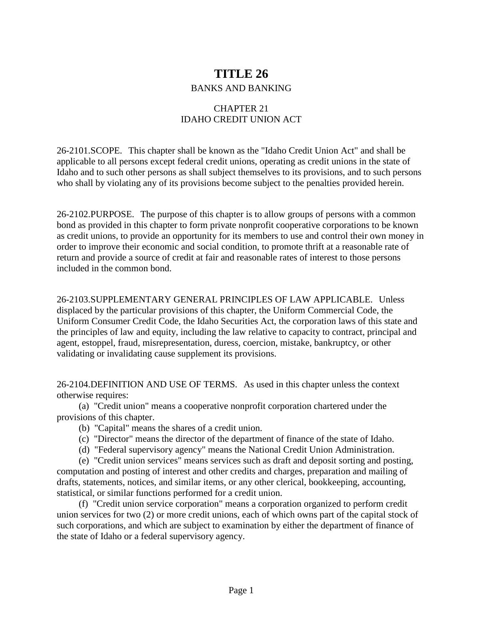# **TITLE 26**

### BANKS AND BANKING

## CHAPTER 21 IDAHO CREDIT UNION ACT

26-2101.SCOPE. This chapter shall be known as the "Idaho Credit Union Act" and shall be applicable to all persons except federal credit unions, operating as credit unions in the state of Idaho and to such other persons as shall subject themselves to its provisions, and to such persons who shall by violating any of its provisions become subject to the penalties provided herein.

26-2102.PURPOSE. The purpose of this chapter is to allow groups of persons with a common bond as provided in this chapter to form private nonprofit cooperative corporations to be known as credit unions, to provide an opportunity for its members to use and control their own money in order to improve their economic and social condition, to promote thrift at a reasonable rate of return and provide a source of credit at fair and reasonable rates of interest to those persons included in the common bond.

26-2103.SUPPLEMENTARY GENERAL PRINCIPLES OF LAW APPLICABLE. Unless displaced by the particular provisions of this chapter, the Uniform Commercial Code, the Uniform Consumer Credit Code, the Idaho Securities Act, the corporation laws of this state and the principles of law and equity, including the law relative to capacity to contract, principal and agent, estoppel, fraud, misrepresentation, duress, coercion, mistake, bankruptcy, or other validating or invalidating cause supplement its provisions.

26-2104.DEFINITION AND USE OF TERMS. As used in this chapter unless the context otherwise requires:

(a) "Credit union" means a cooperative nonprofit corporation chartered under the provisions of this chapter.

- (b) "Capital" means the shares of a credit union.
- (c) "Director" means the director of the department of finance of the state of Idaho.
- (d) "Federal supervisory agency" means the National Credit Union Administration.

(e) "Credit union services" means services such as draft and deposit sorting and posting, computation and posting of interest and other credits and charges, preparation and mailing of drafts, statements, notices, and similar items, or any other clerical, bookkeeping, accounting, statistical, or similar functions performed for a credit union.

(f) "Credit union service corporation" means a corporation organized to perform credit union services for two (2) or more credit unions, each of which owns part of the capital stock of such corporations, and which are subject to examination by either the department of finance of the state of Idaho or a federal supervisory agency.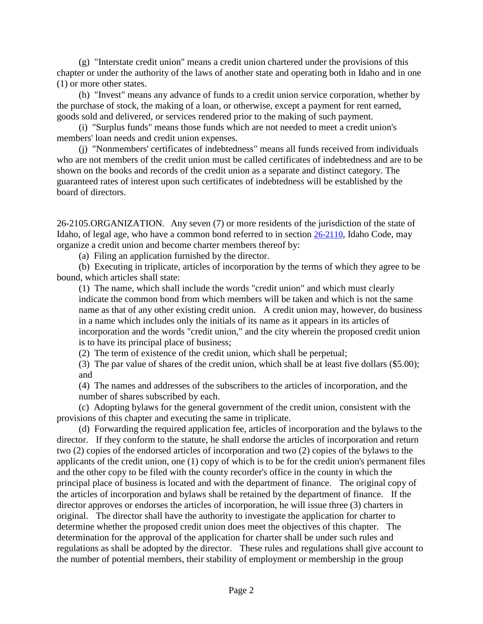(g) "Interstate credit union" means a credit union chartered under the provisions of this chapter or under the authority of the laws of another state and operating both in Idaho and in one (1) or more other states.

(h) "Invest" means any advance of funds to a credit union service corporation, whether by the purchase of stock, the making of a loan, or otherwise, except a payment for rent earned, goods sold and delivered, or services rendered prior to the making of such payment.

(i) "Surplus funds" means those funds which are not needed to meet a credit union's members' loan needs and credit union expenses.

(j) "Nonmembers' certificates of indebtedness" means all funds received from individuals who are not members of the credit union must be called certificates of indebtedness and are to be shown on the books and records of the credit union as a separate and distinct category. The guaranteed rates of interest upon such certificates of indebtedness will be established by the board of directors.

26-2105.ORGANIZATION. Any seven (7) or more residents of the jurisdiction of the state of Idaho, of legal age, who have a common bond referred to in section [26-2110,](https://legislature.idaho.gov/statutesrules/idstat/Title26/T26CH21/SECT26-2110) Idaho Code, may organize a credit union and become charter members thereof by:

(a) Filing an application furnished by the director.

(b) Executing in triplicate, articles of incorporation by the terms of which they agree to be bound, which articles shall state:

(1) The name, which shall include the words "credit union" and which must clearly indicate the common bond from which members will be taken and which is not the same name as that of any other existing credit union. A credit union may, however, do business in a name which includes only the initials of its name as it appears in its articles of incorporation and the words "credit union," and the city wherein the proposed credit union is to have its principal place of business;

(2) The term of existence of the credit union, which shall be perpetual;

(3) The par value of shares of the credit union, which shall be at least five dollars (\$5.00); and

(4) The names and addresses of the subscribers to the articles of incorporation, and the number of shares subscribed by each.

(c) Adopting bylaws for the general government of the credit union, consistent with the provisions of this chapter and executing the same in triplicate.

(d) Forwarding the required application fee, articles of incorporation and the bylaws to the director. If they conform to the statute, he shall endorse the articles of incorporation and return two (2) copies of the endorsed articles of incorporation and two (2) copies of the bylaws to the applicants of the credit union, one (1) copy of which is to be for the credit union's permanent files and the other copy to be filed with the county recorder's office in the county in which the principal place of business is located and with the department of finance. The original copy of the articles of incorporation and bylaws shall be retained by the department of finance. If the director approves or endorses the articles of incorporation, he will issue three (3) charters in original. The director shall have the authority to investigate the application for charter to determine whether the proposed credit union does meet the objectives of this chapter. The determination for the approval of the application for charter shall be under such rules and regulations as shall be adopted by the director. These rules and regulations shall give account to the number of potential members, their stability of employment or membership in the group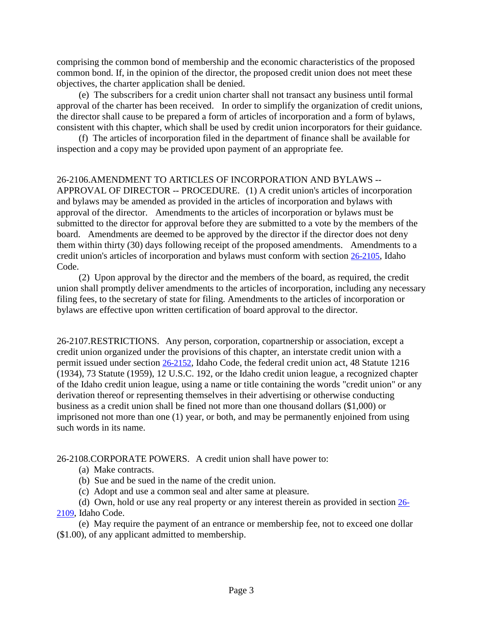comprising the common bond of membership and the economic characteristics of the proposed common bond. If, in the opinion of the director, the proposed credit union does not meet these objectives, the charter application shall be denied.

(e) The subscribers for a credit union charter shall not transact any business until formal approval of the charter has been received. In order to simplify the organization of credit unions, the director shall cause to be prepared a form of articles of incorporation and a form of bylaws, consistent with this chapter, which shall be used by credit union incorporators for their guidance.

(f) The articles of incorporation filed in the department of finance shall be available for inspection and a copy may be provided upon payment of an appropriate fee.

#### 26-2106.AMENDMENT TO ARTICLES OF INCORPORATION AND BYLAWS --

APPROVAL OF DIRECTOR -- PROCEDURE. (1) A credit union's articles of incorporation and bylaws may be amended as provided in the articles of incorporation and bylaws with approval of the director. Amendments to the articles of incorporation or bylaws must be submitted to the director for approval before they are submitted to a vote by the members of the board. Amendments are deemed to be approved by the director if the director does not deny them within thirty (30) days following receipt of the proposed amendments. Amendments to a credit union's articles of incorporation and bylaws must conform with section 26-2105, Idaho Code.

(2) Upon approval by the director and the members of the board, as required, the credit union shall promptly deliver amendments to the articles of incorporation, including any necessary filing fees, to the secretary of state for filing. Amendments to the articles of incorporation or bylaws are effective upon written certification of board approval to the director.

26-2107.RESTRICTIONS. Any person, corporation, copartnership or association, except a credit union organized under the provisions of this chapter, an interstate credit union with a permit issued under section [26-2152,](https://legislature.idaho.gov/statutesrules/idstat/Title26/T26CH21/SECT26-2152) Idaho Code, the federal credit union act, 48 Statute 1216 (1934), 73 Statute (1959), 12 U.S.C. 192, or the Idaho credit union league, a recognized chapter of the Idaho credit union league, using a name or title containing the words "credit union" or any derivation thereof or representing themselves in their advertising or otherwise conducting business as a credit union shall be fined not more than one thousand dollars (\$1,000) or imprisoned not more than one (1) year, or both, and may be permanently enjoined from using such words in its name.

26-2108.CORPORATE POWERS. A credit union shall have power to:

- (a) Make contracts.
- (b) Sue and be sued in the name of the credit union.
- (c) Adopt and use a common seal and alter same at pleasure.

(d) Own, hold or use any real property or any interest therein as provided in section [26-](https://legislature.idaho.gov/statutesrules/idstat/Title26/T26CH21/SECT26-2109) [2109,](https://legislature.idaho.gov/statutesrules/idstat/Title26/T26CH21/SECT26-2109) Idaho Code.

(e) May require the payment of an entrance or membership fee, not to exceed one dollar (\$1.00), of any applicant admitted to membership.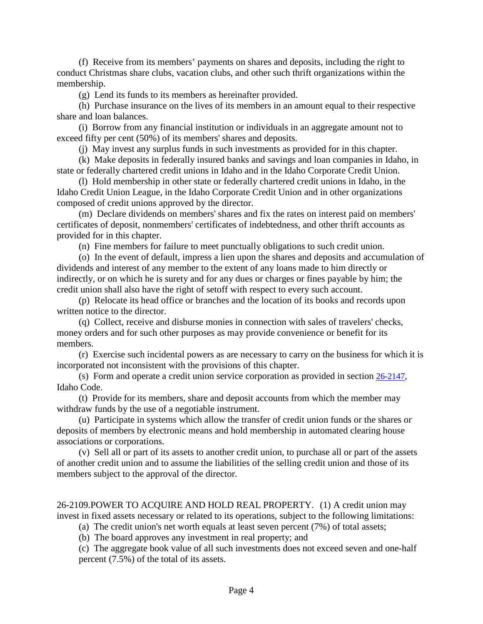(f) Receive from its members' payments on shares and deposits, including the right to conduct Christmas share clubs, vacation clubs, and other such thrift organizations within the membership.

(g) Lend its funds to its members as hereinafter provided.

(h) Purchase insurance on the lives of its members in an amount equal to their respective share and loan balances.

(i) Borrow from any financial institution or individuals in an aggregate amount not to exceed fifty per cent (50%) of its members' shares and deposits.

(j) May invest any surplus funds in such investments as provided for in this chapter.

(k) Make deposits in federally insured banks and savings and loan companies in Idaho, in state or federally chartered credit unions in Idaho and in the Idaho Corporate Credit Union.

(l) Hold membership in other state or federally chartered credit unions in Idaho, in the Idaho Credit Union League, in the Idaho Corporate Credit Union and in other organizations composed of credit unions approved by the director.

(m) Declare dividends on members' shares and fix the rates on interest paid on members' certificates of deposit, nonmembers' certificates of indebtedness, and other thrift accounts as provided for in this chapter.

(n) Fine members for failure to meet punctually obligations to such credit union.

(o) In the event of default, impress a lien upon the shares and deposits and accumulation of dividends and interest of any member to the extent of any loans made to him directly or indirectly, or on which he is surety and for any dues or charges or fines payable by him; the credit union shall also have the right of setoff with respect to every such account.

(p) Relocate its head office or branches and the location of its books and records upon written notice to the director.

(q) Collect, receive and disburse monies in connection with sales of travelers' checks, money orders and for such other purposes as may provide convenience or benefit for its members.

(r) Exercise such incidental powers as are necessary to carry on the business for which it is incorporated not inconsistent with the provisions of this chapter.

(s) Form and operate a credit union service corporation as provided in section [26-2147,](https://legislature.idaho.gov/statutesrules/idstat/Title26/T26CH21/SECT26-2147) Idaho Code.

(t) Provide for its members, share and deposit accounts from which the member may withdraw funds by the use of a negotiable instrument.

(u) Participate in systems which allow the transfer of credit union funds or the shares or deposits of members by electronic means and hold membership in automated clearing house associations or corporations.

(v) Sell all or part of its assets to another credit union, to purchase all or part of the assets of another credit union and to assume the liabilities of the selling credit union and those of its members subject to the approval of the director.

26-2109.POWER TO ACQUIRE AND HOLD REAL PROPERTY. (1) A credit union may invest in fixed assets necessary or related to its operations, subject to the following limitations:

(a) The credit union's net worth equals at least seven percent (7%) of total assets;

(b) The board approves any investment in real property; and

(c) The aggregate book value of all such investments does not exceed seven and one-half percent (7.5%) of the total of its assets.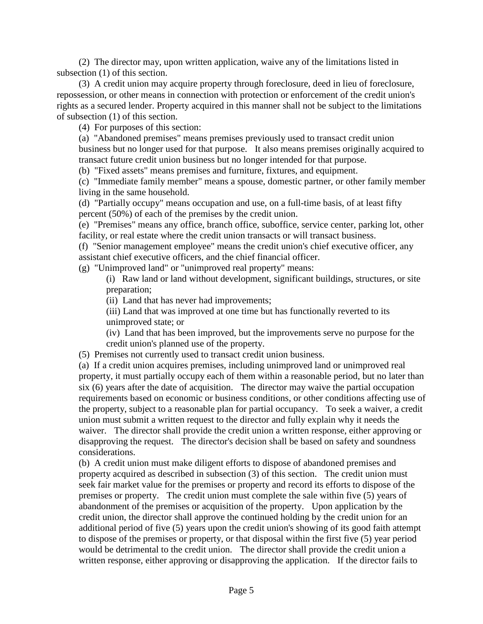(2) The director may, upon written application, waive any of the limitations listed in subsection (1) of this section.

(3) A credit union may acquire property through foreclosure, deed in lieu of foreclosure, repossession, or other means in connection with protection or enforcement of the credit union's rights as a secured lender. Property acquired in this manner shall not be subject to the limitations of subsection (1) of this section.

(4) For purposes of this section:

(a) "Abandoned premises" means premises previously used to transact credit union business but no longer used for that purpose. It also means premises originally acquired to transact future credit union business but no longer intended for that purpose.

(b) "Fixed assets" means premises and furniture, fixtures, and equipment.

(c) "Immediate family member" means a spouse, domestic partner, or other family member living in the same household.

(d) "Partially occupy" means occupation and use, on a full-time basis, of at least fifty percent (50%) of each of the premises by the credit union.

(e) "Premises" means any office, branch office, suboffice, service center, parking lot, other facility, or real estate where the credit union transacts or will transact business.

(f) "Senior management employee" means the credit union's chief executive officer, any assistant chief executive officers, and the chief financial officer.

(g) "Unimproved land" or "unimproved real property" means:

(i) Raw land or land without development, significant buildings, structures, or site preparation;

(ii) Land that has never had improvements;

(iii) Land that was improved at one time but has functionally reverted to its unimproved state; or

(iv) Land that has been improved, but the improvements serve no purpose for the credit union's planned use of the property.

(5) Premises not currently used to transact credit union business.

(a) If a credit union acquires premises, including unimproved land or unimproved real property, it must partially occupy each of them within a reasonable period, but no later than six (6) years after the date of acquisition. The director may waive the partial occupation requirements based on economic or business conditions, or other conditions affecting use of the property, subject to a reasonable plan for partial occupancy. To seek a waiver, a credit union must submit a written request to the director and fully explain why it needs the waiver. The director shall provide the credit union a written response, either approving or disapproving the request. The director's decision shall be based on safety and soundness considerations.

(b) A credit union must make diligent efforts to dispose of abandoned premises and property acquired as described in subsection (3) of this section. The credit union must seek fair market value for the premises or property and record its efforts to dispose of the premises or property. The credit union must complete the sale within five (5) years of abandonment of the premises or acquisition of the property. Upon application by the credit union, the director shall approve the continued holding by the credit union for an additional period of five (5) years upon the credit union's showing of its good faith attempt to dispose of the premises or property, or that disposal within the first five (5) year period would be detrimental to the credit union. The director shall provide the credit union a written response, either approving or disapproving the application. If the director fails to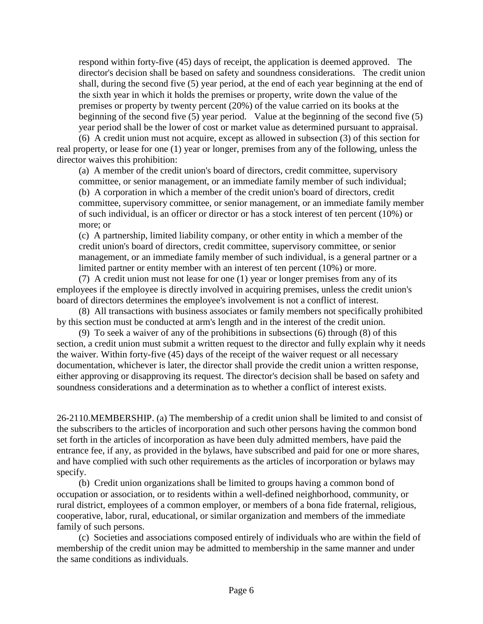respond within forty-five (45) days of receipt, the application is deemed approved. The director's decision shall be based on safety and soundness considerations. The credit union shall, during the second five (5) year period, at the end of each year beginning at the end of the sixth year in which it holds the premises or property, write down the value of the premises or property by twenty percent (20%) of the value carried on its books at the beginning of the second five (5) year period. Value at the beginning of the second five (5) year period shall be the lower of cost or market value as determined pursuant to appraisal.

(6) A credit union must not acquire, except as allowed in subsection (3) of this section for real property, or lease for one (1) year or longer, premises from any of the following, unless the director waives this prohibition:

(a) A member of the credit union's board of directors, credit committee, supervisory committee, or senior management, or an immediate family member of such individual; (b) A corporation in which a member of the credit union's board of directors, credit committee, supervisory committee, or senior management, or an immediate family member of such individual, is an officer or director or has a stock interest of ten percent (10%) or more; or

(c) A partnership, limited liability company, or other entity in which a member of the credit union's board of directors, credit committee, supervisory committee, or senior management, or an immediate family member of such individual, is a general partner or a limited partner or entity member with an interest of ten percent (10%) or more.

(7) A credit union must not lease for one (1) year or longer premises from any of its employees if the employee is directly involved in acquiring premises, unless the credit union's board of directors determines the employee's involvement is not a conflict of interest.

(8) All transactions with business associates or family members not specifically prohibited by this section must be conducted at arm's length and in the interest of the credit union.

(9) To seek a waiver of any of the prohibitions in subsections (6) through (8) of this section, a credit union must submit a written request to the director and fully explain why it needs the waiver. Within forty-five (45) days of the receipt of the waiver request or all necessary documentation, whichever is later, the director shall provide the credit union a written response, either approving or disapproving its request. The director's decision shall be based on safety and soundness considerations and a determination as to whether a conflict of interest exists.

26-2110.MEMBERSHIP. (a) The membership of a credit union shall be limited to and consist of the subscribers to the articles of incorporation and such other persons having the common bond set forth in the articles of incorporation as have been duly admitted members, have paid the entrance fee, if any, as provided in the bylaws, have subscribed and paid for one or more shares, and have complied with such other requirements as the articles of incorporation or bylaws may specify.

(b) Credit union organizations shall be limited to groups having a common bond of occupation or association, or to residents within a well-defined neighborhood, community, or rural district, employees of a common employer, or members of a bona fide fraternal, religious, cooperative, labor, rural, educational, or similar organization and members of the immediate family of such persons.

(c) Societies and associations composed entirely of individuals who are within the field of membership of the credit union may be admitted to membership in the same manner and under the same conditions as individuals.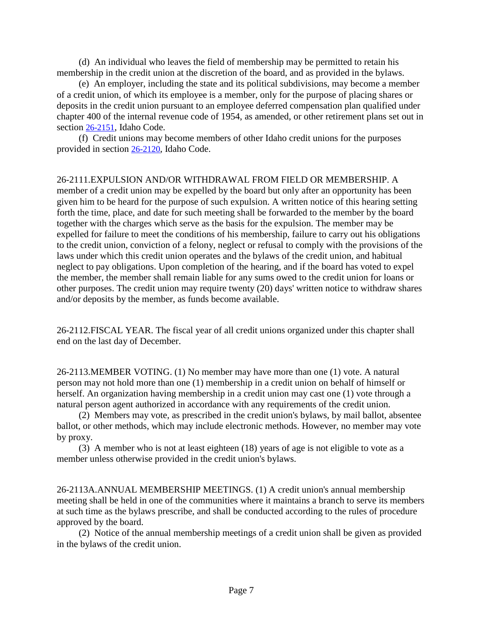(d) An individual who leaves the field of membership may be permitted to retain his membership in the credit union at the discretion of the board, and as provided in the bylaws.

(e) An employer, including the state and its political subdivisions, may become a member of a credit union, of which its employee is a member, only for the purpose of placing shares or deposits in the credit union pursuant to an employee deferred compensation plan qualified under chapter 400 of the internal revenue code of 1954, as amended, or other retirement plans set out in section [26-2151,](https://legislature.idaho.gov/statutesrules/idstat/Title26/T26CH21/SECT26-2151) Idaho Code.

(f) Credit unions may become members of other Idaho credit unions for the purposes provided in section [26-2120,](https://legislature.idaho.gov/statutesrules/idstat/Title26/T26CH21/SECT26-2120) Idaho Code.

26-2111.EXPULSION AND/OR WITHDRAWAL FROM FIELD OR MEMBERSHIP. A member of a credit union may be expelled by the board but only after an opportunity has been given him to be heard for the purpose of such expulsion. A written notice of this hearing setting forth the time, place, and date for such meeting shall be forwarded to the member by the board together with the charges which serve as the basis for the expulsion. The member may be expelled for failure to meet the conditions of his membership, failure to carry out his obligations to the credit union, conviction of a felony, neglect or refusal to comply with the provisions of the laws under which this credit union operates and the bylaws of the credit union, and habitual neglect to pay obligations. Upon completion of the hearing, and if the board has voted to expel the member, the member shall remain liable for any sums owed to the credit union for loans or other purposes. The credit union may require twenty (20) days' written notice to withdraw shares and/or deposits by the member, as funds become available.

26-2112.FISCAL YEAR. The fiscal year of all credit unions organized under this chapter shall end on the last day of December.

26-2113.MEMBER VOTING. (1) No member may have more than one (1) vote. A natural person may not hold more than one (1) membership in a credit union on behalf of himself or herself. An organization having membership in a credit union may cast one (1) vote through a natural person agent authorized in accordance with any requirements of the credit union.

(2) Members may vote, as prescribed in the credit union's bylaws, by mail ballot, absentee ballot, or other methods, which may include electronic methods. However, no member may vote by proxy.

(3) A member who is not at least eighteen (18) years of age is not eligible to vote as a member unless otherwise provided in the credit union's bylaws.

26-2113A.ANNUAL MEMBERSHIP MEETINGS. (1) A credit union's annual membership meeting shall be held in one of the communities where it maintains a branch to serve its members at such time as the bylaws prescribe, and shall be conducted according to the rules of procedure approved by the board.

(2) Notice of the annual membership meetings of a credit union shall be given as provided in the bylaws of the credit union.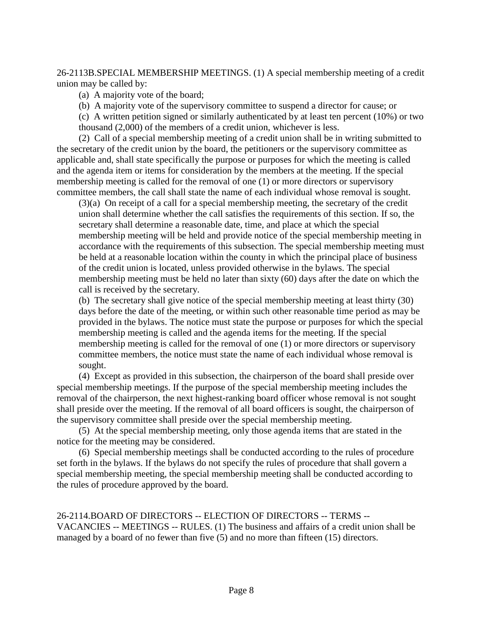26-2113B.SPECIAL MEMBERSHIP MEETINGS. (1) A special membership meeting of a credit union may be called by:

(a) A majority vote of the board;

(b) A majority vote of the supervisory committee to suspend a director for cause; or

(c) A written petition signed or similarly authenticated by at least ten percent (10%) or two thousand (2,000) of the members of a credit union, whichever is less.

(2) Call of a special membership meeting of a credit union shall be in writing submitted to the secretary of the credit union by the board, the petitioners or the supervisory committee as applicable and, shall state specifically the purpose or purposes for which the meeting is called and the agenda item or items for consideration by the members at the meeting. If the special membership meeting is called for the removal of one (1) or more directors or supervisory committee members, the call shall state the name of each individual whose removal is sought.

(3)(a) On receipt of a call for a special membership meeting, the secretary of the credit union shall determine whether the call satisfies the requirements of this section. If so, the secretary shall determine a reasonable date, time, and place at which the special membership meeting will be held and provide notice of the special membership meeting in accordance with the requirements of this subsection. The special membership meeting must be held at a reasonable location within the county in which the principal place of business of the credit union is located, unless provided otherwise in the bylaws. The special membership meeting must be held no later than sixty (60) days after the date on which the call is received by the secretary.

(b) The secretary shall give notice of the special membership meeting at least thirty (30) days before the date of the meeting, or within such other reasonable time period as may be provided in the bylaws. The notice must state the purpose or purposes for which the special membership meeting is called and the agenda items for the meeting. If the special membership meeting is called for the removal of one (1) or more directors or supervisory committee members, the notice must state the name of each individual whose removal is sought.

(4) Except as provided in this subsection, the chairperson of the board shall preside over special membership meetings. If the purpose of the special membership meeting includes the removal of the chairperson, the next highest-ranking board officer whose removal is not sought shall preside over the meeting. If the removal of all board officers is sought, the chairperson of the supervisory committee shall preside over the special membership meeting.

(5) At the special membership meeting, only those agenda items that are stated in the notice for the meeting may be considered.

(6) Special membership meetings shall be conducted according to the rules of procedure set forth in the bylaws. If the bylaws do not specify the rules of procedure that shall govern a special membership meeting, the special membership meeting shall be conducted according to the rules of procedure approved by the board.

26-2114.BOARD OF DIRECTORS -- ELECTION OF DIRECTORS -- TERMS -- VACANCIES -- MEETINGS -- RULES. (1) The business and affairs of a credit union shall be managed by a board of no fewer than five (5) and no more than fifteen (15) directors.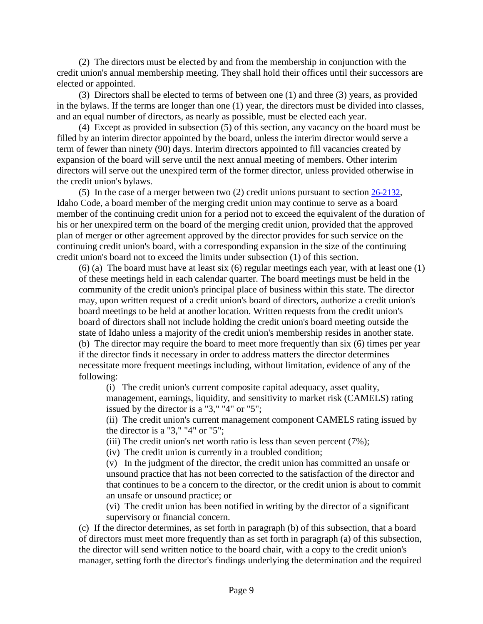(2) The directors must be elected by and from the membership in conjunction with the credit union's annual membership meeting. They shall hold their offices until their successors are elected or appointed.

(3) Directors shall be elected to terms of between one (1) and three (3) years, as provided in the bylaws. If the terms are longer than one (1) year, the directors must be divided into classes, and an equal number of directors, as nearly as possible, must be elected each year.

(4) Except as provided in subsection (5) of this section, any vacancy on the board must be filled by an interim director appointed by the board, unless the interim director would serve a term of fewer than ninety (90) days. Interim directors appointed to fill vacancies created by expansion of the board will serve until the next annual meeting of members. Other interim directors will serve out the unexpired term of the former director, unless provided otherwise in the credit union's bylaws.

(5) In the case of a merger between two (2) credit unions pursuant to section 26-2132, Idaho Code, a board member of the merging credit union may continue to serve as a board member of the continuing credit union for a period not to exceed the equivalent of the duration of his or her unexpired term on the board of the merging credit union, provided that the approved plan of merger or other agreement approved by the director provides for such service on the continuing credit union's board, with a corresponding expansion in the size of the continuing credit union's board not to exceed the limits under subsection (1) of this section.

(6) (a) The board must have at least six (6) regular meetings each year, with at least one (1) of these meetings held in each calendar quarter. The board meetings must be held in the community of the credit union's principal place of business within this state. The director may, upon written request of a credit union's board of directors, authorize a credit union's board meetings to be held at another location. Written requests from the credit union's board of directors shall not include holding the credit union's board meeting outside the state of Idaho unless a majority of the credit union's membership resides in another state. (b) The director may require the board to meet more frequently than six (6) times per year if the director finds it necessary in order to address matters the director determines necessitate more frequent meetings including, without limitation, evidence of any of the following:

(i) The credit union's current composite capital adequacy, asset quality, management, earnings, liquidity, and sensitivity to market risk (CAMELS) rating issued by the director is a "3," "4" or "5";

(ii) The credit union's current management component CAMELS rating issued by the director is a "3," "4" or "5";

(iii) The credit union's net worth ratio is less than seven percent (7%);

(iv) The credit union is currently in a troubled condition;

(v) In the judgment of the director, the credit union has committed an unsafe or unsound practice that has not been corrected to the satisfaction of the director and that continues to be a concern to the director, or the credit union is about to commit an unsafe or unsound practice; or

(vi) The credit union has been notified in writing by the director of a significant supervisory or financial concern.

(c) If the director determines, as set forth in paragraph (b) of this subsection, that a board of directors must meet more frequently than as set forth in paragraph (a) of this subsection, the director will send written notice to the board chair, with a copy to the credit union's manager, setting forth the director's findings underlying the determination and the required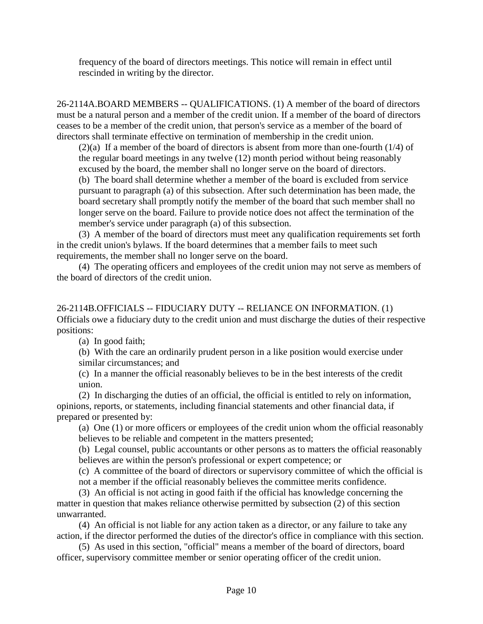frequency of the board of directors meetings. This notice will remain in effect until rescinded in writing by the director.

26-2114A.BOARD MEMBERS -- QUALIFICATIONS. (1) A member of the board of directors must be a natural person and a member of the credit union. If a member of the board of directors ceases to be a member of the credit union, that person's service as a member of the board of directors shall terminate effective on termination of membership in the credit union.

(2)(a) If a member of the board of directors is absent from more than one-fourth (1/4) of the regular board meetings in any twelve (12) month period without being reasonably excused by the board, the member shall no longer serve on the board of directors.

(b) The board shall determine whether a member of the board is excluded from service pursuant to paragraph (a) of this subsection. After such determination has been made, the board secretary shall promptly notify the member of the board that such member shall no longer serve on the board. Failure to provide notice does not affect the termination of the member's service under paragraph (a) of this subsection.

(3) A member of the board of directors must meet any qualification requirements set forth in the credit union's bylaws. If the board determines that a member fails to meet such requirements, the member shall no longer serve on the board.

(4) The operating officers and employees of the credit union may not serve as members of the board of directors of the credit union.

26-2114B.OFFICIALS -- FIDUCIARY DUTY -- RELIANCE ON INFORMATION. (1) Officials owe a fiduciary duty to the credit union and must discharge the duties of their respective positions:

(a) In good faith;

(b) With the care an ordinarily prudent person in a like position would exercise under similar circumstances; and

(c) In a manner the official reasonably believes to be in the best interests of the credit union.

(2) In discharging the duties of an official, the official is entitled to rely on information, opinions, reports, or statements, including financial statements and other financial data, if prepared or presented by:

(a) One (1) or more officers or employees of the credit union whom the official reasonably believes to be reliable and competent in the matters presented;

(b) Legal counsel, public accountants or other persons as to matters the official reasonably believes are within the person's professional or expert competence; or

(c) A committee of the board of directors or supervisory committee of which the official is

not a member if the official reasonably believes the committee merits confidence.

(3) An official is not acting in good faith if the official has knowledge concerning the matter in question that makes reliance otherwise permitted by subsection (2) of this section unwarranted.

(4) An official is not liable for any action taken as a director, or any failure to take any action, if the director performed the duties of the director's office in compliance with this section.

(5) As used in this section, "official" means a member of the board of directors, board officer, supervisory committee member or senior operating officer of the credit union.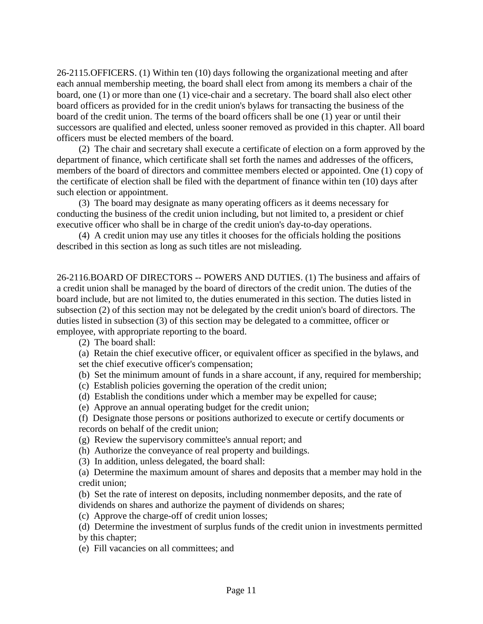26-2115.OFFICERS. (1) Within ten (10) days following the organizational meeting and after each annual membership meeting, the board shall elect from among its members a chair of the board, one (1) or more than one (1) vice-chair and a secretary. The board shall also elect other board officers as provided for in the credit union's bylaws for transacting the business of the board of the credit union. The terms of the board officers shall be one (1) year or until their successors are qualified and elected, unless sooner removed as provided in this chapter. All board officers must be elected members of the board.

(2) The chair and secretary shall execute a certificate of election on a form approved by the department of finance, which certificate shall set forth the names and addresses of the officers, members of the board of directors and committee members elected or appointed. One (1) copy of the certificate of election shall be filed with the department of finance within ten (10) days after such election or appointment.

(3) The board may designate as many operating officers as it deems necessary for conducting the business of the credit union including, but not limited to, a president or chief executive officer who shall be in charge of the credit union's day-to-day operations.

(4) A credit union may use any titles it chooses for the officials holding the positions described in this section as long as such titles are not misleading.

26-2116.BOARD OF DIRECTORS -- POWERS AND DUTIES. (1) The business and affairs of a credit union shall be managed by the board of directors of the credit union. The duties of the board include, but are not limited to, the duties enumerated in this section. The duties listed in subsection (2) of this section may not be delegated by the credit union's board of directors. The duties listed in subsection (3) of this section may be delegated to a committee, officer or employee, with appropriate reporting to the board.

(2) The board shall:

(a) Retain the chief executive officer, or equivalent officer as specified in the bylaws, and set the chief executive officer's compensation;

(b) Set the minimum amount of funds in a share account, if any, required for membership;

(c) Establish policies governing the operation of the credit union;

(d) Establish the conditions under which a member may be expelled for cause;

(e) Approve an annual operating budget for the credit union;

(f) Designate those persons or positions authorized to execute or certify documents or records on behalf of the credit union;

(g) Review the supervisory committee's annual report; and

(h) Authorize the conveyance of real property and buildings.

(3) In addition, unless delegated, the board shall:

(a) Determine the maximum amount of shares and deposits that a member may hold in the credit union;

(b) Set the rate of interest on deposits, including nonmember deposits, and the rate of dividends on shares and authorize the payment of dividends on shares;

(c) Approve the charge-off of credit union losses;

(d) Determine the investment of surplus funds of the credit union in investments permitted by this chapter;

(e) Fill vacancies on all committees; and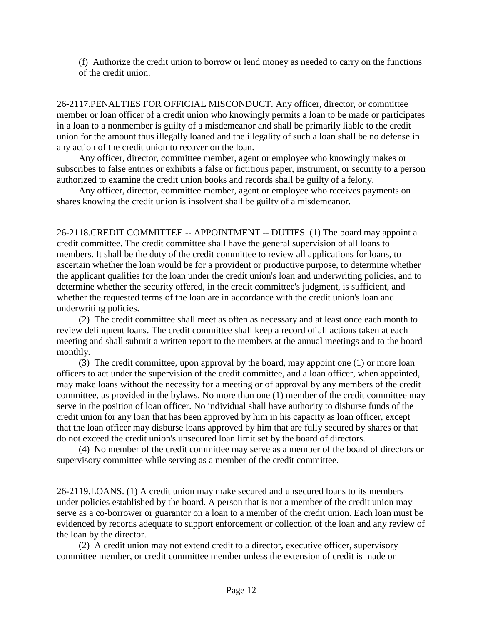(f) Authorize the credit union to borrow or lend money as needed to carry on the functions of the credit union.

26-2117.PENALTIES FOR OFFICIAL MISCONDUCT. Any officer, director, or committee member or loan officer of a credit union who knowingly permits a loan to be made or participates in a loan to a nonmember is guilty of a misdemeanor and shall be primarily liable to the credit union for the amount thus illegally loaned and the illegality of such a loan shall be no defense in any action of the credit union to recover on the loan.

Any officer, director, committee member, agent or employee who knowingly makes or subscribes to false entries or exhibits a false or fictitious paper, instrument, or security to a person authorized to examine the credit union books and records shall be guilty of a felony.

Any officer, director, committee member, agent or employee who receives payments on shares knowing the credit union is insolvent shall be guilty of a misdemeanor.

26-2118.CREDIT COMMITTEE -- APPOINTMENT -- DUTIES. (1) The board may appoint a credit committee. The credit committee shall have the general supervision of all loans to members. It shall be the duty of the credit committee to review all applications for loans, to ascertain whether the loan would be for a provident or productive purpose, to determine whether the applicant qualifies for the loan under the credit union's loan and underwriting policies, and to determine whether the security offered, in the credit committee's judgment, is sufficient, and whether the requested terms of the loan are in accordance with the credit union's loan and underwriting policies.

(2) The credit committee shall meet as often as necessary and at least once each month to review delinquent loans. The credit committee shall keep a record of all actions taken at each meeting and shall submit a written report to the members at the annual meetings and to the board monthly.

(3) The credit committee, upon approval by the board, may appoint one (1) or more loan officers to act under the supervision of the credit committee, and a loan officer, when appointed, may make loans without the necessity for a meeting or of approval by any members of the credit committee, as provided in the bylaws. No more than one (1) member of the credit committee may serve in the position of loan officer. No individual shall have authority to disburse funds of the credit union for any loan that has been approved by him in his capacity as loan officer, except that the loan officer may disburse loans approved by him that are fully secured by shares or that do not exceed the credit union's unsecured loan limit set by the board of directors.

(4) No member of the credit committee may serve as a member of the board of directors or supervisory committee while serving as a member of the credit committee.

26-2119.LOANS. (1) A credit union may make secured and unsecured loans to its members under policies established by the board. A person that is not a member of the credit union may serve as a co-borrower or guarantor on a loan to a member of the credit union. Each loan must be evidenced by records adequate to support enforcement or collection of the loan and any review of the loan by the director.

(2) A credit union may not extend credit to a director, executive officer, supervisory committee member, or credit committee member unless the extension of credit is made on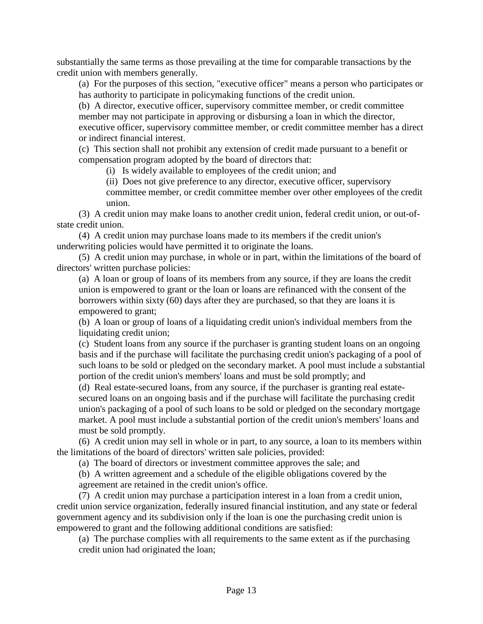substantially the same terms as those prevailing at the time for comparable transactions by the credit union with members generally.

(a) For the purposes of this section, "executive officer" means a person who participates or has authority to participate in policymaking functions of the credit union.

(b) A director, executive officer, supervisory committee member, or credit committee member may not participate in approving or disbursing a loan in which the director, executive officer, supervisory committee member, or credit committee member has a direct or indirect financial interest.

(c) This section shall not prohibit any extension of credit made pursuant to a benefit or compensation program adopted by the board of directors that:

(i) Is widely available to employees of the credit union; and

(ii) Does not give preference to any director, executive officer, supervisory committee member, or credit committee member over other employees of the credit union.

(3) A credit union may make loans to another credit union, federal credit union, or out-ofstate credit union.

(4) A credit union may purchase loans made to its members if the credit union's underwriting policies would have permitted it to originate the loans.

(5) A credit union may purchase, in whole or in part, within the limitations of the board of directors' written purchase policies:

(a) A loan or group of loans of its members from any source, if they are loans the credit union is empowered to grant or the loan or loans are refinanced with the consent of the borrowers within sixty (60) days after they are purchased, so that they are loans it is empowered to grant;

(b) A loan or group of loans of a liquidating credit union's individual members from the liquidating credit union;

(c) Student loans from any source if the purchaser is granting student loans on an ongoing basis and if the purchase will facilitate the purchasing credit union's packaging of a pool of such loans to be sold or pledged on the secondary market. A pool must include a substantial portion of the credit union's members' loans and must be sold promptly; and

(d) Real estate-secured loans, from any source, if the purchaser is granting real estatesecured loans on an ongoing basis and if the purchase will facilitate the purchasing credit union's packaging of a pool of such loans to be sold or pledged on the secondary mortgage market. A pool must include a substantial portion of the credit union's members' loans and must be sold promptly.

(6) A credit union may sell in whole or in part, to any source, a loan to its members within the limitations of the board of directors' written sale policies, provided:

(a) The board of directors or investment committee approves the sale; and

(b) A written agreement and a schedule of the eligible obligations covered by the agreement are retained in the credit union's office.

(7) A credit union may purchase a participation interest in a loan from a credit union, credit union service organization, federally insured financial institution, and any state or federal government agency and its subdivision only if the loan is one the purchasing credit union is empowered to grant and the following additional conditions are satisfied:

(a) The purchase complies with all requirements to the same extent as if the purchasing credit union had originated the loan;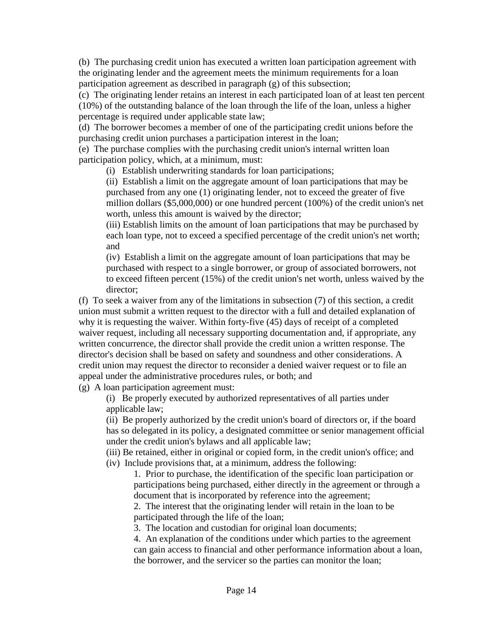(b) The purchasing credit union has executed a written loan participation agreement with the originating lender and the agreement meets the minimum requirements for a loan participation agreement as described in paragraph (g) of this subsection;

(c) The originating lender retains an interest in each participated loan of at least ten percent (10%) of the outstanding balance of the loan through the life of the loan, unless a higher percentage is required under applicable state law;

(d) The borrower becomes a member of one of the participating credit unions before the purchasing credit union purchases a participation interest in the loan;

(e) The purchase complies with the purchasing credit union's internal written loan participation policy, which, at a minimum, must:

(i) Establish underwriting standards for loan participations;

(ii) Establish a limit on the aggregate amount of loan participations that may be purchased from any one (1) originating lender, not to exceed the greater of five million dollars (\$5,000,000) or one hundred percent (100%) of the credit union's net worth, unless this amount is waived by the director;

(iii) Establish limits on the amount of loan participations that may be purchased by each loan type, not to exceed a specified percentage of the credit union's net worth; and

(iv) Establish a limit on the aggregate amount of loan participations that may be purchased with respect to a single borrower, or group of associated borrowers, not to exceed fifteen percent (15%) of the credit union's net worth, unless waived by the director;

(f) To seek a waiver from any of the limitations in subsection (7) of this section, a credit union must submit a written request to the director with a full and detailed explanation of why it is requesting the waiver. Within forty-five (45) days of receipt of a completed waiver request, including all necessary supporting documentation and, if appropriate, any written concurrence, the director shall provide the credit union a written response. The director's decision shall be based on safety and soundness and other considerations. A credit union may request the director to reconsider a denied waiver request or to file an appeal under the administrative procedures rules, or both; and

(g) A loan participation agreement must:

(i) Be properly executed by authorized representatives of all parties under applicable law;

(ii) Be properly authorized by the credit union's board of directors or, if the board has so delegated in its policy, a designated committee or senior management official under the credit union's bylaws and all applicable law;

(iii) Be retained, either in original or copied form, in the credit union's office; and (iv) Include provisions that, at a minimum, address the following:

1. Prior to purchase, the identification of the specific loan participation or participations being purchased, either directly in the agreement or through a document that is incorporated by reference into the agreement;

2. The interest that the originating lender will retain in the loan to be participated through the life of the loan;

3. The location and custodian for original loan documents;

4. An explanation of the conditions under which parties to the agreement can gain access to financial and other performance information about a loan, the borrower, and the servicer so the parties can monitor the loan;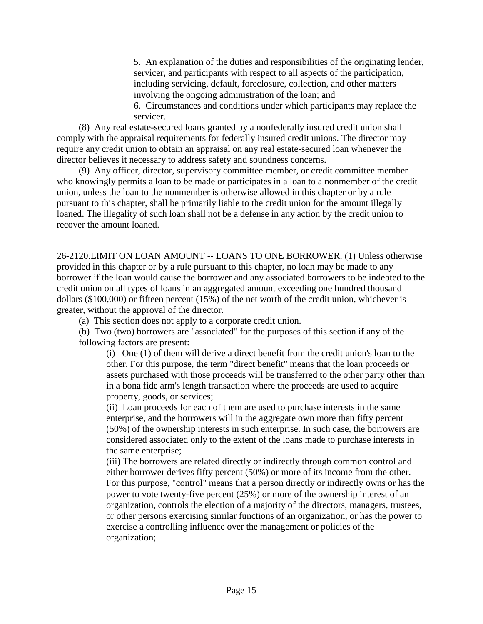5. An explanation of the duties and responsibilities of the originating lender, servicer, and participants with respect to all aspects of the participation, including servicing, default, foreclosure, collection, and other matters involving the ongoing administration of the loan; and

6. Circumstances and conditions under which participants may replace the servicer.

(8) Any real estate-secured loans granted by a nonfederally insured credit union shall comply with the appraisal requirements for federally insured credit unions. The director may require any credit union to obtain an appraisal on any real estate-secured loan whenever the director believes it necessary to address safety and soundness concerns.

(9) Any officer, director, supervisory committee member, or credit committee member who knowingly permits a loan to be made or participates in a loan to a nonmember of the credit union, unless the loan to the nonmember is otherwise allowed in this chapter or by a rule pursuant to this chapter, shall be primarily liable to the credit union for the amount illegally loaned. The illegality of such loan shall not be a defense in any action by the credit union to recover the amount loaned.

26-2120.LIMIT ON LOAN AMOUNT -- LOANS TO ONE BORROWER. (1) Unless otherwise provided in this chapter or by a rule pursuant to this chapter, no loan may be made to any borrower if the loan would cause the borrower and any associated borrowers to be indebted to the credit union on all types of loans in an aggregated amount exceeding one hundred thousand dollars (\$100,000) or fifteen percent (15%) of the net worth of the credit union, whichever is greater, without the approval of the director.

(a) This section does not apply to a corporate credit union.

(b) Two (two) borrowers are "associated" for the purposes of this section if any of the following factors are present:

(i) One (1) of them will derive a direct benefit from the credit union's loan to the other. For this purpose, the term "direct benefit" means that the loan proceeds or assets purchased with those proceeds will be transferred to the other party other than in a bona fide arm's length transaction where the proceeds are used to acquire property, goods, or services;

(ii) Loan proceeds for each of them are used to purchase interests in the same enterprise, and the borrowers will in the aggregate own more than fifty percent (50%) of the ownership interests in such enterprise. In such case, the borrowers are considered associated only to the extent of the loans made to purchase interests in the same enterprise;

(iii) The borrowers are related directly or indirectly through common control and either borrower derives fifty percent (50%) or more of its income from the other. For this purpose, "control" means that a person directly or indirectly owns or has the power to vote twenty-five percent (25%) or more of the ownership interest of an organization, controls the election of a majority of the directors, managers, trustees, or other persons exercising similar functions of an organization, or has the power to exercise a controlling influence over the management or policies of the organization;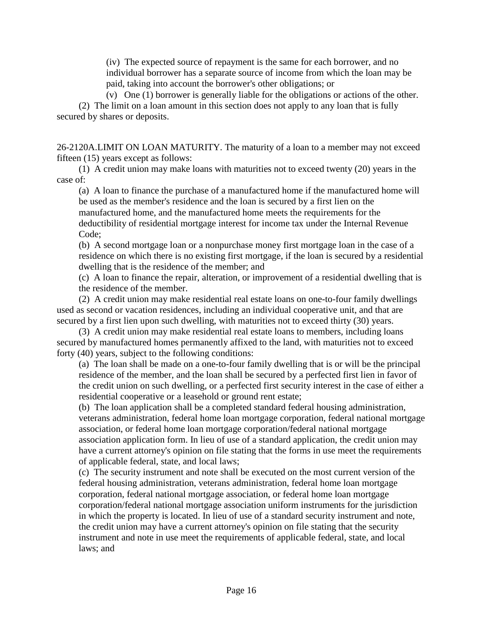(iv) The expected source of repayment is the same for each borrower, and no individual borrower has a separate source of income from which the loan may be paid, taking into account the borrower's other obligations; or

(v) One (1) borrower is generally liable for the obligations or actions of the other.

(2) The limit on a loan amount in this section does not apply to any loan that is fully secured by shares or deposits.

26-2120A.LIMIT ON LOAN MATURITY. The maturity of a loan to a member may not exceed fifteen (15) years except as follows:

(1) A credit union may make loans with maturities not to exceed twenty (20) years in the case of:

(a) A loan to finance the purchase of a manufactured home if the manufactured home will be used as the member's residence and the loan is secured by a first lien on the manufactured home, and the manufactured home meets the requirements for the deductibility of residential mortgage interest for income tax under the Internal Revenue Code;

(b) A second mortgage loan or a nonpurchase money first mortgage loan in the case of a residence on which there is no existing first mortgage, if the loan is secured by a residential dwelling that is the residence of the member; and

(c) A loan to finance the repair, alteration, or improvement of a residential dwelling that is the residence of the member.

(2) A credit union may make residential real estate loans on one-to-four family dwellings used as second or vacation residences, including an individual cooperative unit, and that are secured by a first lien upon such dwelling, with maturities not to exceed thirty (30) years.

(3) A credit union may make residential real estate loans to members, including loans secured by manufactured homes permanently affixed to the land, with maturities not to exceed forty (40) years, subject to the following conditions:

(a) The loan shall be made on a one-to-four family dwelling that is or will be the principal residence of the member, and the loan shall be secured by a perfected first lien in favor of the credit union on such dwelling, or a perfected first security interest in the case of either a residential cooperative or a leasehold or ground rent estate;

(b) The loan application shall be a completed standard federal housing administration, veterans administration, federal home loan mortgage corporation, federal national mortgage association, or federal home loan mortgage corporation/federal national mortgage association application form. In lieu of use of a standard application, the credit union may have a current attorney's opinion on file stating that the forms in use meet the requirements of applicable federal, state, and local laws;

(c) The security instrument and note shall be executed on the most current version of the federal housing administration, veterans administration, federal home loan mortgage corporation, federal national mortgage association, or federal home loan mortgage corporation/federal national mortgage association uniform instruments for the jurisdiction in which the property is located. In lieu of use of a standard security instrument and note, the credit union may have a current attorney's opinion on file stating that the security instrument and note in use meet the requirements of applicable federal, state, and local laws; and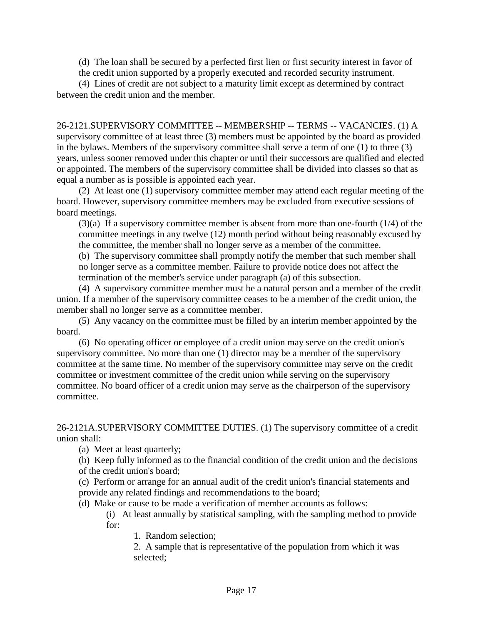(d) The loan shall be secured by a perfected first lien or first security interest in favor of

the credit union supported by a properly executed and recorded security instrument.

(4) Lines of credit are not subject to a maturity limit except as determined by contract between the credit union and the member.

26-2121.SUPERVISORY COMMITTEE -- MEMBERSHIP -- TERMS -- VACANCIES. (1) A supervisory committee of at least three (3) members must be appointed by the board as provided in the bylaws. Members of the supervisory committee shall serve a term of one (1) to three (3) years, unless sooner removed under this chapter or until their successors are qualified and elected or appointed. The members of the supervisory committee shall be divided into classes so that as equal a number as is possible is appointed each year.

(2) At least one (1) supervisory committee member may attend each regular meeting of the board. However, supervisory committee members may be excluded from executive sessions of board meetings.

(3)(a) If a supervisory committee member is absent from more than one-fourth (1/4) of the committee meetings in any twelve (12) month period without being reasonably excused by the committee, the member shall no longer serve as a member of the committee.

(b) The supervisory committee shall promptly notify the member that such member shall no longer serve as a committee member. Failure to provide notice does not affect the termination of the member's service under paragraph (a) of this subsection.

(4) A supervisory committee member must be a natural person and a member of the credit union. If a member of the supervisory committee ceases to be a member of the credit union, the member shall no longer serve as a committee member.

(5) Any vacancy on the committee must be filled by an interim member appointed by the board.

(6) No operating officer or employee of a credit union may serve on the credit union's supervisory committee. No more than one (1) director may be a member of the supervisory committee at the same time. No member of the supervisory committee may serve on the credit committee or investment committee of the credit union while serving on the supervisory committee. No board officer of a credit union may serve as the chairperson of the supervisory committee.

26-2121A.SUPERVISORY COMMITTEE DUTIES. (1) The supervisory committee of a credit union shall:

(a) Meet at least quarterly;

(b) Keep fully informed as to the financial condition of the credit union and the decisions of the credit union's board;

(c) Perform or arrange for an annual audit of the credit union's financial statements and provide any related findings and recommendations to the board;

(d) Make or cause to be made a verification of member accounts as follows:

(i) At least annually by statistical sampling, with the sampling method to provide for:

1. Random selection;

2. A sample that is representative of the population from which it was selected;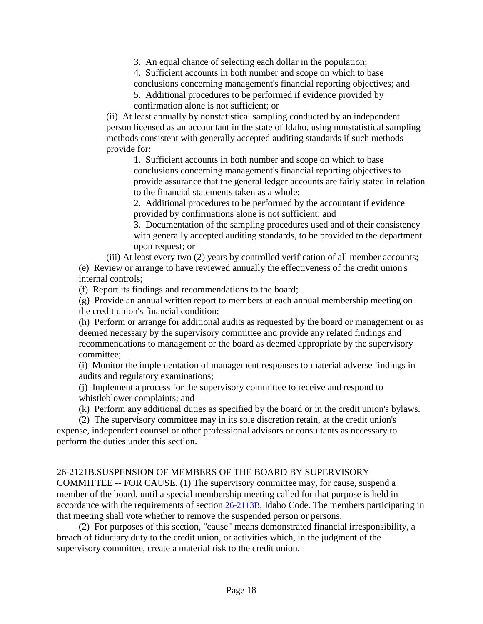3. An equal chance of selecting each dollar in the population;

4. Sufficient accounts in both number and scope on which to base conclusions concerning management's financial reporting objectives; and

5. Additional procedures to be performed if evidence provided by confirmation alone is not sufficient; or

(ii) At least annually by nonstatistical sampling conducted by an independent person licensed as an accountant in the state of Idaho, using nonstatistical sampling methods consistent with generally accepted auditing standards if such methods provide for:

1. Sufficient accounts in both number and scope on which to base conclusions concerning management's financial reporting objectives to provide assurance that the general ledger accounts are fairly stated in relation to the financial statements taken as a whole;

2. Additional procedures to be performed by the accountant if evidence provided by confirmations alone is not sufficient; and

3. Documentation of the sampling procedures used and of their consistency with generally accepted auditing standards, to be provided to the department upon request; or

(iii) At least every two (2) years by controlled verification of all member accounts; (e) Review or arrange to have reviewed annually the effectiveness of the credit union's internal controls;

(f) Report its findings and recommendations to the board;

(g) Provide an annual written report to members at each annual membership meeting on the credit union's financial condition;

(h) Perform or arrange for additional audits as requested by the board or management or as deemed necessary by the supervisory committee and provide any related findings and recommendations to management or the board as deemed appropriate by the supervisory committee;

(i) Monitor the implementation of management responses to material adverse findings in audits and regulatory examinations;

(j) Implement a process for the supervisory committee to receive and respond to whistleblower complaints; and

(k) Perform any additional duties as specified by the board or in the credit union's bylaws.

(2) The supervisory committee may in its sole discretion retain, at the credit union's expense, independent counsel or other professional advisors or consultants as necessary to perform the duties under this section.

# 26-2121B.SUSPENSION OF MEMBERS OF THE BOARD BY SUPERVISORY

COMMITTEE -- FOR CAUSE. (1) The supervisory committee may, for cause, suspend a member of the board, until a special membership meeting called for that purpose is held in accordance with the requirements of section 26-2113B, Idaho Code. The members participating in that meeting shall vote whether to remove the suspended person or persons.

(2) For purposes of this section, "cause" means demonstrated financial irresponsibility, a breach of fiduciary duty to the credit union, or activities which, in the judgment of the supervisory committee, create a material risk to the credit union.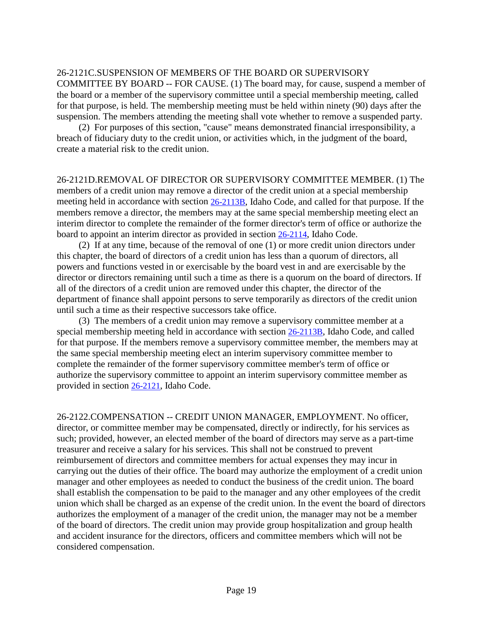#### 26-2121C.SUSPENSION OF MEMBERS OF THE BOARD OR SUPERVISORY

COMMITTEE BY BOARD -- FOR CAUSE. (1) The board may, for cause, suspend a member of the board or a member of the supervisory committee until a special membership meeting, called for that purpose, is held. The membership meeting must be held within ninety (90) days after the suspension. The members attending the meeting shall vote whether to remove a suspended party.

(2) For purposes of this section, "cause" means demonstrated financial irresponsibility, a breach of fiduciary duty to the credit union, or activities which, in the judgment of the board, create a material risk to the credit union.

26-2121D.REMOVAL OF DIRECTOR OR SUPERVISORY COMMITTEE MEMBER. (1) The members of a credit union may remove a director of the credit union at a special membership meeting held in accordance with section 26-2113B, Idaho Code, and called for that purpose. If the members remove a director, the members may at the same special membership meeting elect an interim director to complete the remainder of the former director's term of office or authorize the board to appoint an interim director as provided in section 26-2114, Idaho Code.

(2) If at any time, because of the removal of one (1) or more credit union directors under this chapter, the board of directors of a credit union has less than a quorum of directors, all powers and functions vested in or exercisable by the board vest in and are exercisable by the director or directors remaining until such a time as there is a quorum on the board of directors. If all of the directors of a credit union are removed under this chapter, the director of the department of finance shall appoint persons to serve temporarily as directors of the credit union until such a time as their respective successors take office.

(3) The members of a credit union may remove a supervisory committee member at a special membership meeting held in accordance with section 26-2113B, Idaho Code, and called for that purpose. If the members remove a supervisory committee member, the members may at the same special membership meeting elect an interim supervisory committee member to complete the remainder of the former supervisory committee member's term of office or authorize the supervisory committee to appoint an interim supervisory committee member as provided in section 26-2121, Idaho Code.

26-2122.COMPENSATION -- CREDIT UNION MANAGER, EMPLOYMENT. No officer, director, or committee member may be compensated, directly or indirectly, for his services as such; provided, however, an elected member of the board of directors may serve as a part-time treasurer and receive a salary for his services. This shall not be construed to prevent reimbursement of directors and committee members for actual expenses they may incur in carrying out the duties of their office. The board may authorize the employment of a credit union manager and other employees as needed to conduct the business of the credit union. The board shall establish the compensation to be paid to the manager and any other employees of the credit union which shall be charged as an expense of the credit union. In the event the board of directors authorizes the employment of a manager of the credit union, the manager may not be a member of the board of directors. The credit union may provide group hospitalization and group health and accident insurance for the directors, officers and committee members which will not be considered compensation.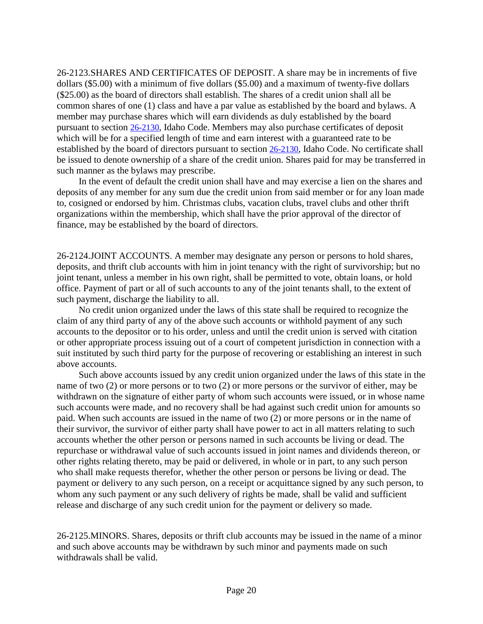26-2123.SHARES AND CERTIFICATES OF DEPOSIT. A share may be in increments of five dollars (\$5.00) with a minimum of five dollars (\$5.00) and a maximum of twenty-five dollars (\$25.00) as the board of directors shall establish. The shares of a credit union shall all be common shares of one (1) class and have a par value as established by the board and bylaws. A member may purchase shares which will earn dividends as duly established by the board pursuant to section [26-2130,](https://legislature.idaho.gov/statutesrules/idstat/Title26/T26CH21/SECT26-2130) Idaho Code. Members may also purchase certificates of deposit which will be for a specified length of time and earn interest with a guaranteed rate to be established by the board of directors pursuant to section [26-2130,](https://legislature.idaho.gov/statutesrules/idstat/Title26/T26CH21/SECT26-2130) Idaho Code. No certificate shall be issued to denote ownership of a share of the credit union. Shares paid for may be transferred in such manner as the bylaws may prescribe.

In the event of default the credit union shall have and may exercise a lien on the shares and deposits of any member for any sum due the credit union from said member or for any loan made to, cosigned or endorsed by him. Christmas clubs, vacation clubs, travel clubs and other thrift organizations within the membership, which shall have the prior approval of the director of finance, may be established by the board of directors.

26-2124.JOINT ACCOUNTS. A member may designate any person or persons to hold shares, deposits, and thrift club accounts with him in joint tenancy with the right of survivorship; but no joint tenant, unless a member in his own right, shall be permitted to vote, obtain loans, or hold office. Payment of part or all of such accounts to any of the joint tenants shall, to the extent of such payment, discharge the liability to all.

No credit union organized under the laws of this state shall be required to recognize the claim of any third party of any of the above such accounts or withhold payment of any such accounts to the depositor or to his order, unless and until the credit union is served with citation or other appropriate process issuing out of a court of competent jurisdiction in connection with a suit instituted by such third party for the purpose of recovering or establishing an interest in such above accounts.

Such above accounts issued by any credit union organized under the laws of this state in the name of two (2) or more persons or to two (2) or more persons or the survivor of either, may be withdrawn on the signature of either party of whom such accounts were issued, or in whose name such accounts were made, and no recovery shall be had against such credit union for amounts so paid. When such accounts are issued in the name of two (2) or more persons or in the name of their survivor, the survivor of either party shall have power to act in all matters relating to such accounts whether the other person or persons named in such accounts be living or dead. The repurchase or withdrawal value of such accounts issued in joint names and dividends thereon, or other rights relating thereto, may be paid or delivered, in whole or in part, to any such person who shall make requests therefor, whether the other person or persons be living or dead. The payment or delivery to any such person, on a receipt or acquittance signed by any such person, to whom any such payment or any such delivery of rights be made, shall be valid and sufficient release and discharge of any such credit union for the payment or delivery so made.

26-2125.MINORS. Shares, deposits or thrift club accounts may be issued in the name of a minor and such above accounts may be withdrawn by such minor and payments made on such withdrawals shall be valid.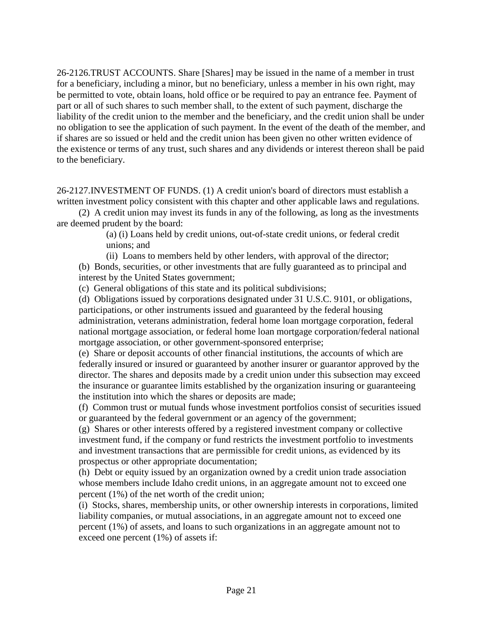26-2126.TRUST ACCOUNTS. Share [Shares] may be issued in the name of a member in trust for a beneficiary, including a minor, but no beneficiary, unless a member in his own right, may be permitted to vote, obtain loans, hold office or be required to pay an entrance fee. Payment of part or all of such shares to such member shall, to the extent of such payment, discharge the liability of the credit union to the member and the beneficiary, and the credit union shall be under no obligation to see the application of such payment. In the event of the death of the member, and if shares are so issued or held and the credit union has been given no other written evidence of the existence or terms of any trust, such shares and any dividends or interest thereon shall be paid to the beneficiary.

26-2127.INVESTMENT OF FUNDS. (1) A credit union's board of directors must establish a written investment policy consistent with this chapter and other applicable laws and regulations.

(2) A credit union may invest its funds in any of the following, as long as the investments are deemed prudent by the board:

> (a) (i) Loans held by credit unions, out-of-state credit unions, or federal credit unions; and

(ii) Loans to members held by other lenders, with approval of the director; (b) Bonds, securities, or other investments that are fully guaranteed as to principal and interest by the United States government;

(c) General obligations of this state and its political subdivisions;

(d) Obligations issued by corporations designated under 31 U.S.C. 9101, or obligations, participations, or other instruments issued and guaranteed by the federal housing administration, veterans administration, federal home loan mortgage corporation, federal national mortgage association, or federal home loan mortgage corporation/federal national mortgage association, or other government-sponsored enterprise;

(e) Share or deposit accounts of other financial institutions, the accounts of which are federally insured or insured or guaranteed by another insurer or guarantor approved by the director. The shares and deposits made by a credit union under this subsection may exceed the insurance or guarantee limits established by the organization insuring or guaranteeing the institution into which the shares or deposits are made;

(f) Common trust or mutual funds whose investment portfolios consist of securities issued or guaranteed by the federal government or an agency of the government;

(g) Shares or other interests offered by a registered investment company or collective investment fund, if the company or fund restricts the investment portfolio to investments and investment transactions that are permissible for credit unions, as evidenced by its prospectus or other appropriate documentation;

(h) Debt or equity issued by an organization owned by a credit union trade association whose members include Idaho credit unions, in an aggregate amount not to exceed one percent (1%) of the net worth of the credit union;

(i) Stocks, shares, membership units, or other ownership interests in corporations, limited liability companies, or mutual associations, in an aggregate amount not to exceed one percent (1%) of assets, and loans to such organizations in an aggregate amount not to exceed one percent (1%) of assets if: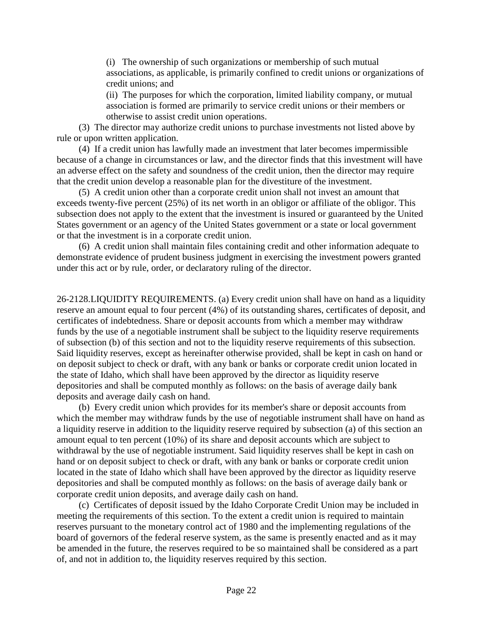(i) The ownership of such organizations or membership of such mutual associations, as applicable, is primarily confined to credit unions or organizations of credit unions; and

(ii) The purposes for which the corporation, limited liability company, or mutual association is formed are primarily to service credit unions or their members or otherwise to assist credit union operations.

(3) The director may authorize credit unions to purchase investments not listed above by rule or upon written application.

(4) If a credit union has lawfully made an investment that later becomes impermissible because of a change in circumstances or law, and the director finds that this investment will have an adverse effect on the safety and soundness of the credit union, then the director may require that the credit union develop a reasonable plan for the divestiture of the investment.

(5) A credit union other than a corporate credit union shall not invest an amount that exceeds twenty-five percent (25%) of its net worth in an obligor or affiliate of the obligor. This subsection does not apply to the extent that the investment is insured or guaranteed by the United States government or an agency of the United States government or a state or local government or that the investment is in a corporate credit union.

(6) A credit union shall maintain files containing credit and other information adequate to demonstrate evidence of prudent business judgment in exercising the investment powers granted under this act or by rule, order, or declaratory ruling of the director.

26-2128.LIQUIDITY REQUIREMENTS. (a) Every credit union shall have on hand as a liquidity reserve an amount equal to four percent (4%) of its outstanding shares, certificates of deposit, and certificates of indebtedness. Share or deposit accounts from which a member may withdraw funds by the use of a negotiable instrument shall be subject to the liquidity reserve requirements of subsection (b) of this section and not to the liquidity reserve requirements of this subsection. Said liquidity reserves, except as hereinafter otherwise provided, shall be kept in cash on hand or on deposit subject to check or draft, with any bank or banks or corporate credit union located in the state of Idaho, which shall have been approved by the director as liquidity reserve depositories and shall be computed monthly as follows: on the basis of average daily bank deposits and average daily cash on hand.

(b) Every credit union which provides for its member's share or deposit accounts from which the member may withdraw funds by the use of negotiable instrument shall have on hand as a liquidity reserve in addition to the liquidity reserve required by subsection (a) of this section an amount equal to ten percent (10%) of its share and deposit accounts which are subject to withdrawal by the use of negotiable instrument. Said liquidity reserves shall be kept in cash on hand or on deposit subject to check or draft, with any bank or banks or corporate credit union located in the state of Idaho which shall have been approved by the director as liquidity reserve depositories and shall be computed monthly as follows: on the basis of average daily bank or corporate credit union deposits, and average daily cash on hand.

(c) Certificates of deposit issued by the Idaho Corporate Credit Union may be included in meeting the requirements of this section. To the extent a credit union is required to maintain reserves pursuant to the monetary control act of 1980 and the implementing regulations of the board of governors of the federal reserve system, as the same is presently enacted and as it may be amended in the future, the reserves required to be so maintained shall be considered as a part of, and not in addition to, the liquidity reserves required by this section.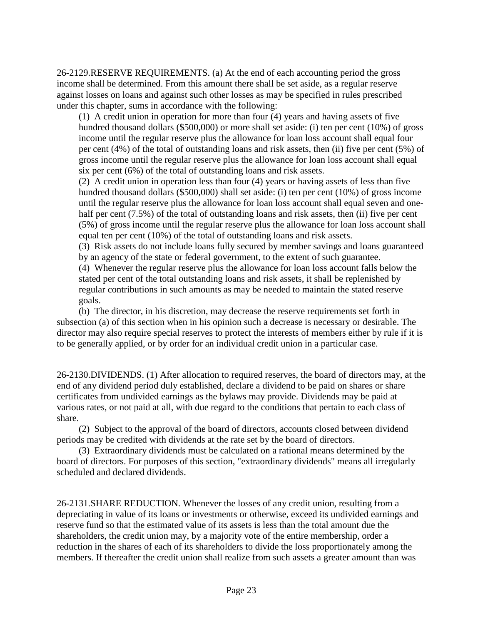26-2129.RESERVE REQUIREMENTS. (a) At the end of each accounting period the gross income shall be determined. From this amount there shall be set aside, as a regular reserve against losses on loans and against such other losses as may be specified in rules prescribed under this chapter, sums in accordance with the following:

(1) A credit union in operation for more than four (4) years and having assets of five hundred thousand dollars (\$500,000) or more shall set aside: (i) ten per cent (10%) of gross income until the regular reserve plus the allowance for loan loss account shall equal four per cent (4%) of the total of outstanding loans and risk assets, then (ii) five per cent (5%) of gross income until the regular reserve plus the allowance for loan loss account shall equal six per cent (6%) of the total of outstanding loans and risk assets.

(2) A credit union in operation less than four (4) years or having assets of less than five hundred thousand dollars (\$500,000) shall set aside: (i) ten per cent (10%) of gross income until the regular reserve plus the allowance for loan loss account shall equal seven and onehalf per cent (7.5%) of the total of outstanding loans and risk assets, then (ii) five per cent (5%) of gross income until the regular reserve plus the allowance for loan loss account shall equal ten per cent (10%) of the total of outstanding loans and risk assets.

(3) Risk assets do not include loans fully secured by member savings and loans guaranteed by an agency of the state or federal government, to the extent of such guarantee.

(4) Whenever the regular reserve plus the allowance for loan loss account falls below the stated per cent of the total outstanding loans and risk assets, it shall be replenished by regular contributions in such amounts as may be needed to maintain the stated reserve goals.

(b) The director, in his discretion, may decrease the reserve requirements set forth in subsection (a) of this section when in his opinion such a decrease is necessary or desirable. The director may also require special reserves to protect the interests of members either by rule if it is to be generally applied, or by order for an individual credit union in a particular case.

26-2130.DIVIDENDS. (1) After allocation to required reserves, the board of directors may, at the end of any dividend period duly established, declare a dividend to be paid on shares or share certificates from undivided earnings as the bylaws may provide. Dividends may be paid at various rates, or not paid at all, with due regard to the conditions that pertain to each class of share.

(2) Subject to the approval of the board of directors, accounts closed between dividend periods may be credited with dividends at the rate set by the board of directors.

(3) Extraordinary dividends must be calculated on a rational means determined by the board of directors. For purposes of this section, "extraordinary dividends" means all irregularly scheduled and declared dividends.

26-2131.SHARE REDUCTION. Whenever the losses of any credit union, resulting from a depreciating in value of its loans or investments or otherwise, exceed its undivided earnings and reserve fund so that the estimated value of its assets is less than the total amount due the shareholders, the credit union may, by a majority vote of the entire membership, order a reduction in the shares of each of its shareholders to divide the loss proportionately among the members. If thereafter the credit union shall realize from such assets a greater amount than was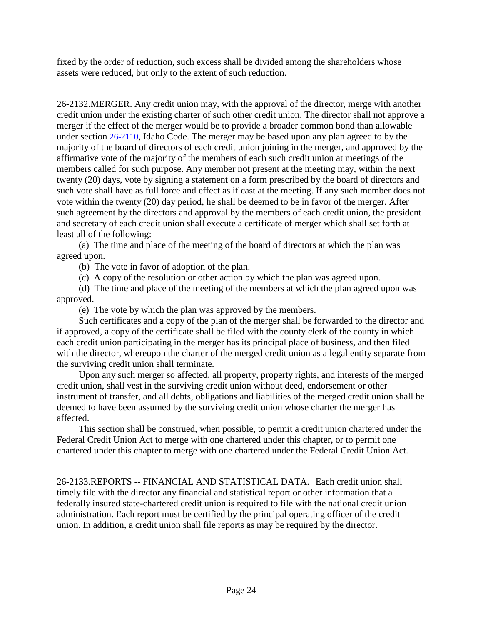fixed by the order of reduction, such excess shall be divided among the shareholders whose assets were reduced, but only to the extent of such reduction.

26-2132.MERGER. Any credit union may, with the approval of the director, merge with another credit union under the existing charter of such other credit union. The director shall not approve a merger if the effect of the merger would be to provide a broader common bond than allowable under section [26-2110,](https://legislature.idaho.gov/statutesrules/idstat/Title26/T26CH21/SECT26-2110) Idaho Code. The merger may be based upon any plan agreed to by the majority of the board of directors of each credit union joining in the merger, and approved by the affirmative vote of the majority of the members of each such credit union at meetings of the members called for such purpose. Any member not present at the meeting may, within the next twenty (20) days, vote by signing a statement on a form prescribed by the board of directors and such vote shall have as full force and effect as if cast at the meeting. If any such member does not vote within the twenty (20) day period, he shall be deemed to be in favor of the merger. After such agreement by the directors and approval by the members of each credit union, the president and secretary of each credit union shall execute a certificate of merger which shall set forth at least all of the following:

(a) The time and place of the meeting of the board of directors at which the plan was agreed upon.

(b) The vote in favor of adoption of the plan.

(c) A copy of the resolution or other action by which the plan was agreed upon.

(d) The time and place of the meeting of the members at which the plan agreed upon was approved.

(e) The vote by which the plan was approved by the members.

Such certificates and a copy of the plan of the merger shall be forwarded to the director and if approved, a copy of the certificate shall be filed with the county clerk of the county in which each credit union participating in the merger has its principal place of business, and then filed with the director, whereupon the charter of the merged credit union as a legal entity separate from the surviving credit union shall terminate.

Upon any such merger so affected, all property, property rights, and interests of the merged credit union, shall vest in the surviving credit union without deed, endorsement or other instrument of transfer, and all debts, obligations and liabilities of the merged credit union shall be deemed to have been assumed by the surviving credit union whose charter the merger has affected.

This section shall be construed, when possible, to permit a credit union chartered under the Federal Credit Union Act to merge with one chartered under this chapter, or to permit one chartered under this chapter to merge with one chartered under the Federal Credit Union Act.

26-2133.REPORTS -- FINANCIAL AND STATISTICAL DATA. Each credit union shall timely file with the director any financial and statistical report or other information that a federally insured state-chartered credit union is required to file with the national credit union administration. Each report must be certified by the principal operating officer of the credit union. In addition, a credit union shall file reports as may be required by the director.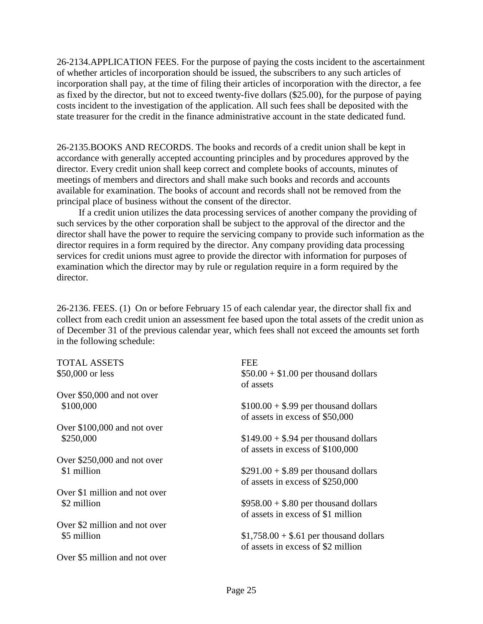26-2134.APPLICATION FEES. For the purpose of paying the costs incident to the ascertainment of whether articles of incorporation should be issued, the subscribers to any such articles of incorporation shall pay, at the time of filing their articles of incorporation with the director, a fee as fixed by the director, but not to exceed twenty-five dollars (\$25.00), for the purpose of paying costs incident to the investigation of the application. All such fees shall be deposited with the state treasurer for the credit in the finance administrative account in the state dedicated fund.

26-2135.BOOKS AND RECORDS. The books and records of a credit union shall be kept in accordance with generally accepted accounting principles and by procedures approved by the director. Every credit union shall keep correct and complete books of accounts, minutes of meetings of members and directors and shall make such books and records and accounts available for examination. The books of account and records shall not be removed from the principal place of business without the consent of the director.

If a credit union utilizes the data processing services of another company the providing of such services by the other corporation shall be subject to the approval of the director and the director shall have the power to require the servicing company to provide such information as the director requires in a form required by the director. Any company providing data processing services for credit unions must agree to provide the director with information for purposes of examination which the director may by rule or regulation require in a form required by the director.

26-2136. FEES. (1) On or before February 15 of each calendar year, the director shall fix and collect from each credit union an assessment fee based upon the total assets of the credit union as of December 31 of the previous calendar year, which fees shall not exceed the amounts set forth in the following schedule:

| <b>TOTAL ASSETS</b>           | FEE                                     |
|-------------------------------|-----------------------------------------|
| \$50,000 or less              | $$50.00 + $1.00$ per thousand dollars   |
|                               | of assets                               |
| Over \$50,000 and not over    |                                         |
| \$100,000                     | $$100.00 + $.99$ per thousand dollars   |
|                               | of assets in excess of \$50,000         |
| Over \$100,000 and not over   |                                         |
| \$250,000                     | $$149.00 + $.94$ per thousand dollars   |
|                               | of assets in excess of \$100,000        |
| Over \$250,000 and not over   |                                         |
| \$1 million                   | $$291.00 + $.89$ per thousand dollars   |
|                               | of assets in excess of \$250,000        |
| Over \$1 million and not over |                                         |
| \$2 million                   | $$958.00 + $.80$ per thousand dollars   |
|                               | of assets in excess of \$1 million      |
| Over \$2 million and not over |                                         |
| \$5 million                   | $$1,758.00 + $.61$ per thousand dollars |
|                               | of assets in excess of \$2 million      |
| Over \$5 million and not over |                                         |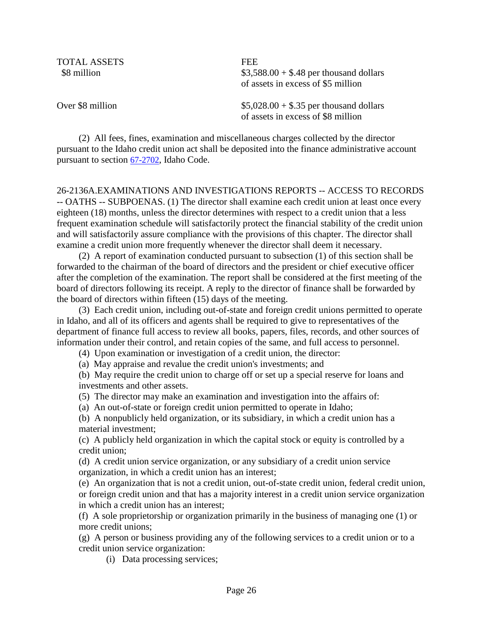TOTAL ASSETS FEE

 $$3,588.00 + $.48$  per thousand dollars of assets in excess of \$5 million

Over \$8 million  $$5,028.00 + $.35$  per thousand dollars of assets in excess of \$8 million

(2) All fees, fines, examination and miscellaneous charges collected by the director pursuant to the Idaho credit union act shall be deposited into the finance administrative account pursuant to section 67-2702, Idaho Code.

26-2136A.EXAMINATIONS AND INVESTIGATIONS REPORTS -- ACCESS TO RECORDS -- OATHS -- SUBPOENAS. (1) The director shall examine each credit union at least once every eighteen (18) months, unless the director determines with respect to a credit union that a less frequent examination schedule will satisfactorily protect the financial stability of the credit union and will satisfactorily assure compliance with the provisions of this chapter. The director shall examine a credit union more frequently whenever the director shall deem it necessary.

(2) A report of examination conducted pursuant to subsection (1) of this section shall be forwarded to the chairman of the board of directors and the president or chief executive officer after the completion of the examination. The report shall be considered at the first meeting of the board of directors following its receipt. A reply to the director of finance shall be forwarded by the board of directors within fifteen (15) days of the meeting.

(3) Each credit union, including out-of-state and foreign credit unions permitted to operate in Idaho, and all of its officers and agents shall be required to give to representatives of the department of finance full access to review all books, papers, files, records, and other sources of information under their control, and retain copies of the same, and full access to personnel.

(4) Upon examination or investigation of a credit union, the director:

(a) May appraise and revalue the credit union's investments; and

(b) May require the credit union to charge off or set up a special reserve for loans and investments and other assets.

(5) The director may make an examination and investigation into the affairs of:

(a) An out-of-state or foreign credit union permitted to operate in Idaho;

(b) A nonpublicly held organization, or its subsidiary, in which a credit union has a material investment;

(c) A publicly held organization in which the capital stock or equity is controlled by a credit union;

(d) A credit union service organization, or any subsidiary of a credit union service organization, in which a credit union has an interest;

(e) An organization that is not a credit union, out-of-state credit union, federal credit union, or foreign credit union and that has a majority interest in a credit union service organization in which a credit union has an interest;

(f) A sole proprietorship or organization primarily in the business of managing one (1) or more credit unions;

(g) A person or business providing any of the following services to a credit union or to a credit union service organization:

(i) Data processing services;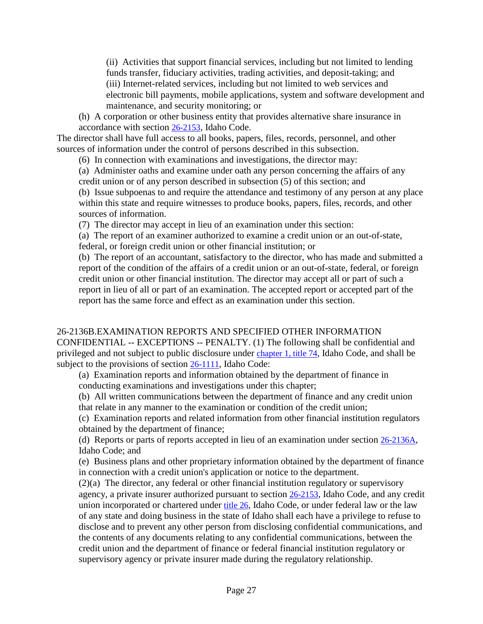(ii) Activities that support financial services, including but not limited to lending funds transfer, fiduciary activities, trading activities, and deposit-taking; and (iii) Internet-related services, including but not limited to web services and electronic bill payments, mobile applications, system and software development and maintenance, and security monitoring; or

(h) A corporation or other business entity that provides alternative share insurance in accordance with section 26-2153, Idaho Code.

The director shall have full access to all books, papers, files, records, personnel, and other sources of information under the control of persons described in this subsection.

(6) In connection with examinations and investigations, the director may:

(a) Administer oaths and examine under oath any person concerning the affairs of any credit union or of any person described in subsection (5) of this section; and

(b) Issue subpoenas to and require the attendance and testimony of any person at any place within this state and require witnesses to produce books, papers, files, records, and other sources of information.

(7) The director may accept in lieu of an examination under this section:

(a) The report of an examiner authorized to examine a credit union or an out-of-state,

federal, or foreign credit union or other financial institution; or

(b) The report of an accountant, satisfactory to the director, who has made and submitted a report of the condition of the affairs of a credit union or an out-of-state, federal, or foreign credit union or other financial institution. The director may accept all or part of such a report in lieu of all or part of an examination. The accepted report or accepted part of the report has the same force and effect as an examination under this section.

#### 26-2136B.EXAMINATION REPORTS AND SPECIFIED OTHER INFORMATION

CONFIDENTIAL -- EXCEPTIONS -- PENALTY. (1) The following shall be confidential and privileged and not subject to public disclosure under chapter 1, title 74, Idaho Code, and shall be subject to the provisions of section 26-1111, Idaho Code:

(a) Examination reports and information obtained by the department of finance in conducting examinations and investigations under this chapter;

(b) All written communications between the department of finance and any credit union that relate in any manner to the examination or condition of the credit union;

(c) Examination reports and related information from other financial institution regulators obtained by the department of finance;

(d) Reports or parts of reports accepted in lieu of an examination under section 26-2136A, Idaho Code; and

(e) Business plans and other proprietary information obtained by the department of finance in connection with a credit union's application or notice to the department.

(2)(a) The director, any federal or other financial institution regulatory or supervisory agency, a private insurer authorized pursuant to section 26-2153, Idaho Code, and any credit union incorporated or chartered under title 26, Idaho Code, or under federal law or the law of any state and doing business in the state of Idaho shall each have a privilege to refuse to disclose and to prevent any other person from disclosing confidential communications, and the contents of any documents relating to any confidential communications, between the credit union and the department of finance or federal financial institution regulatory or supervisory agency or private insurer made during the regulatory relationship.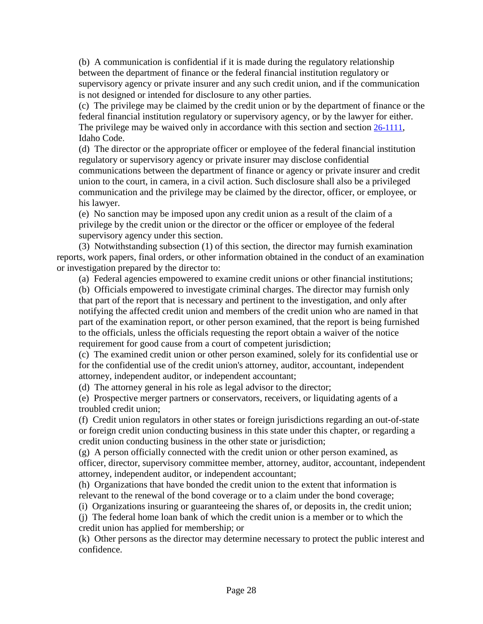(b) A communication is confidential if it is made during the regulatory relationship between the department of finance or the federal financial institution regulatory or supervisory agency or private insurer and any such credit union, and if the communication is not designed or intended for disclosure to any other parties.

(c) The privilege may be claimed by the credit union or by the department of finance or the federal financial institution regulatory or supervisory agency, or by the lawyer for either. The privilege may be waived only in accordance with this section and section 26-1111, Idaho Code.

(d) The director or the appropriate officer or employee of the federal financial institution regulatory or supervisory agency or private insurer may disclose confidential communications between the department of finance or agency or private insurer and credit union to the court, in camera, in a civil action. Such disclosure shall also be a privileged communication and the privilege may be claimed by the director, officer, or employee, or his lawyer.

(e) No sanction may be imposed upon any credit union as a result of the claim of a privilege by the credit union or the director or the officer or employee of the federal supervisory agency under this section.

(3) Notwithstanding subsection (1) of this section, the director may furnish examination reports, work papers, final orders, or other information obtained in the conduct of an examination or investigation prepared by the director to:

(a) Federal agencies empowered to examine credit unions or other financial institutions;

(b) Officials empowered to investigate criminal charges. The director may furnish only that part of the report that is necessary and pertinent to the investigation, and only after notifying the affected credit union and members of the credit union who are named in that part of the examination report, or other person examined, that the report is being furnished to the officials, unless the officials requesting the report obtain a waiver of the notice requirement for good cause from a court of competent jurisdiction;

(c) The examined credit union or other person examined, solely for its confidential use or for the confidential use of the credit union's attorney, auditor, accountant, independent attorney, independent auditor, or independent accountant;

(d) The attorney general in his role as legal advisor to the director;

(e) Prospective merger partners or conservators, receivers, or liquidating agents of a troubled credit union;

(f) Credit union regulators in other states or foreign jurisdictions regarding an out-of-state or foreign credit union conducting business in this state under this chapter, or regarding a credit union conducting business in the other state or jurisdiction;

(g) A person officially connected with the credit union or other person examined, as officer, director, supervisory committee member, attorney, auditor, accountant, independent attorney, independent auditor, or independent accountant;

(h) Organizations that have bonded the credit union to the extent that information is relevant to the renewal of the bond coverage or to a claim under the bond coverage;

(i) Organizations insuring or guaranteeing the shares of, or deposits in, the credit union;

(j) The federal home loan bank of which the credit union is a member or to which the credit union has applied for membership; or

(k) Other persons as the director may determine necessary to protect the public interest and confidence.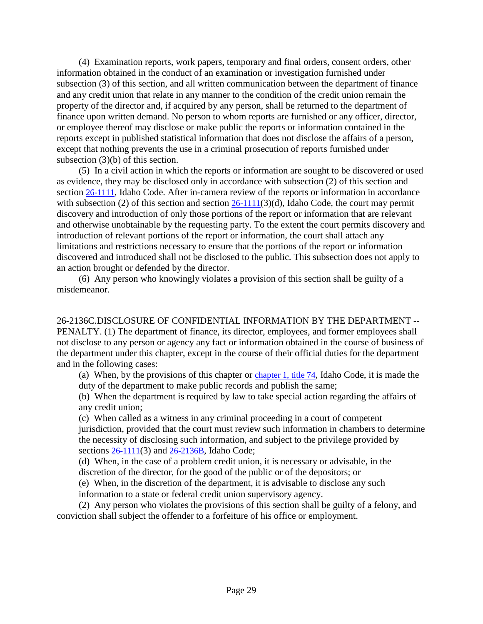(4) Examination reports, work papers, temporary and final orders, consent orders, other information obtained in the conduct of an examination or investigation furnished under subsection (3) of this section, and all written communication between the department of finance and any credit union that relate in any manner to the condition of the credit union remain the property of the director and, if acquired by any person, shall be returned to the department of finance upon written demand. No person to whom reports are furnished or any officer, director, or employee thereof may disclose or make public the reports or information contained in the reports except in published statistical information that does not disclose the affairs of a person, except that nothing prevents the use in a criminal prosecution of reports furnished under subsection (3)(b) of this section.

(5) In a civil action in which the reports or information are sought to be discovered or used as evidence, they may be disclosed only in accordance with subsection (2) of this section and section 26-1111, Idaho Code. After in-camera review of the reports or information in accordance with subsection (2) of this section and section  $26-1111(3)(d)$ , Idaho Code, the court may permit discovery and introduction of only those portions of the report or information that are relevant and otherwise unobtainable by the requesting party. To the extent the court permits discovery and introduction of relevant portions of the report or information, the court shall attach any limitations and restrictions necessary to ensure that the portions of the report or information discovered and introduced shall not be disclosed to the public. This subsection does not apply to an action brought or defended by the director.

(6) Any person who knowingly violates a provision of this section shall be guilty of a misdemeanor.

26-2136C.DISCLOSURE OF CONFIDENTIAL INFORMATION BY THE DEPARTMENT -- PENALTY. (1) The department of finance, its director, employees, and former employees shall not disclose to any person or agency any fact or information obtained in the course of business of the department under this chapter, except in the course of their official duties for the department and in the following cases:

(a) When, by the provisions of this chapter or chapter 1, title 74, Idaho Code, it is made the duty of the department to make public records and publish the same;

(b) When the department is required by law to take special action regarding the affairs of any credit union;

(c) When called as a witness in any criminal proceeding in a court of competent jurisdiction, provided that the court must review such information in chambers to determine the necessity of disclosing such information, and subject to the privilege provided by sections 26-1111(3) and 26-2136B, Idaho Code;

(d) When, in the case of a problem credit union, it is necessary or advisable, in the discretion of the director, for the good of the public or of the depositors; or

(e) When, in the discretion of the department, it is advisable to disclose any such information to a state or federal credit union supervisory agency.

(2) Any person who violates the provisions of this section shall be guilty of a felony, and conviction shall subject the offender to a forfeiture of his office or employment.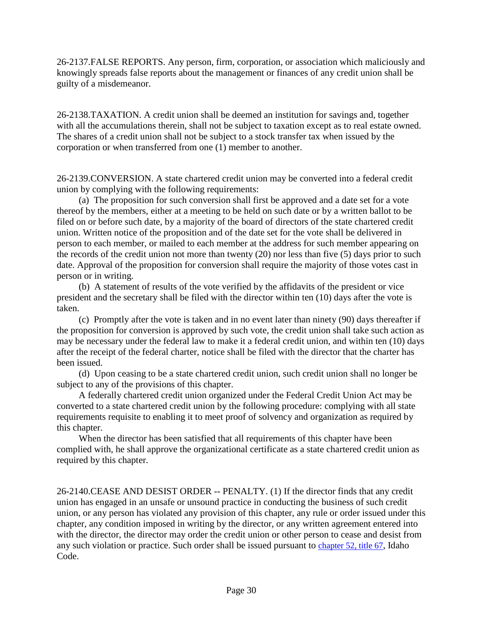26-2137.FALSE REPORTS. Any person, firm, corporation, or association which maliciously and knowingly spreads false reports about the management or finances of any credit union shall be guilty of a misdemeanor.

26-2138.TAXATION. A credit union shall be deemed an institution for savings and, together with all the accumulations therein, shall not be subject to taxation except as to real estate owned. The shares of a credit union shall not be subject to a stock transfer tax when issued by the corporation or when transferred from one (1) member to another.

26-2139.CONVERSION. A state chartered credit union may be converted into a federal credit union by complying with the following requirements:

(a) The proposition for such conversion shall first be approved and a date set for a vote thereof by the members, either at a meeting to be held on such date or by a written ballot to be filed on or before such date, by a majority of the board of directors of the state chartered credit union. Written notice of the proposition and of the date set for the vote shall be delivered in person to each member, or mailed to each member at the address for such member appearing on the records of the credit union not more than twenty (20) nor less than five (5) days prior to such date. Approval of the proposition for conversion shall require the majority of those votes cast in person or in writing.

(b) A statement of results of the vote verified by the affidavits of the president or vice president and the secretary shall be filed with the director within ten (10) days after the vote is taken.

(c) Promptly after the vote is taken and in no event later than ninety (90) days thereafter if the proposition for conversion is approved by such vote, the credit union shall take such action as may be necessary under the federal law to make it a federal credit union, and within ten (10) days after the receipt of the federal charter, notice shall be filed with the director that the charter has been issued.

(d) Upon ceasing to be a state chartered credit union, such credit union shall no longer be subject to any of the provisions of this chapter.

A federally chartered credit union organized under the Federal Credit Union Act may be converted to a state chartered credit union by the following procedure: complying with all state requirements requisite to enabling it to meet proof of solvency and organization as required by this chapter.

When the director has been satisfied that all requirements of this chapter have been complied with, he shall approve the organizational certificate as a state chartered credit union as required by this chapter.

26-2140.CEASE AND DESIST ORDER -- PENALTY. (1) If the director finds that any credit union has engaged in an unsafe or unsound practice in conducting the business of such credit union, or any person has violated any provision of this chapter, any rule or order issued under this chapter, any condition imposed in writing by the director, or any written agreement entered into with the director, the director may order the credit union or other person to cease and desist from any such violation or practice. Such order shall be issued pursuant to chapter 52, title 67, Idaho Code.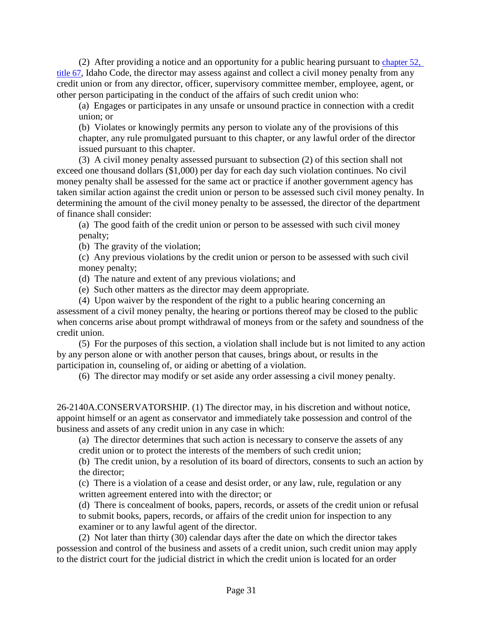(2) After providing a notice and an opportunity for a public hearing pursuant to chapter 52, title 67, Idaho Code, the director may assess against and collect a civil money penalty from any credit union or from any director, officer, supervisory committee member, employee, agent, or other person participating in the conduct of the affairs of such credit union who:

(a) Engages or participates in any unsafe or unsound practice in connection with a credit union; or

(b) Violates or knowingly permits any person to violate any of the provisions of this chapter, any rule promulgated pursuant to this chapter, or any lawful order of the director issued pursuant to this chapter.

(3) A civil money penalty assessed pursuant to subsection (2) of this section shall not exceed one thousand dollars (\$1,000) per day for each day such violation continues. No civil money penalty shall be assessed for the same act or practice if another government agency has taken similar action against the credit union or person to be assessed such civil money penalty. In determining the amount of the civil money penalty to be assessed, the director of the department of finance shall consider:

(a) The good faith of the credit union or person to be assessed with such civil money penalty;

(b) The gravity of the violation;

(c) Any previous violations by the credit union or person to be assessed with such civil money penalty;

(d) The nature and extent of any previous violations; and

(e) Such other matters as the director may deem appropriate.

(4) Upon waiver by the respondent of the right to a public hearing concerning an assessment of a civil money penalty, the hearing or portions thereof may be closed to the public when concerns arise about prompt withdrawal of moneys from or the safety and soundness of the credit union.

(5) For the purposes of this section, a violation shall include but is not limited to any action by any person alone or with another person that causes, brings about, or results in the participation in, counseling of, or aiding or abetting of a violation.

(6) The director may modify or set aside any order assessing a civil money penalty.

26-2140A.CONSERVATORSHIP. (1) The director may, in his discretion and without notice, appoint himself or an agent as conservator and immediately take possession and control of the business and assets of any credit union in any case in which:

(a) The director determines that such action is necessary to conserve the assets of any credit union or to protect the interests of the members of such credit union;

(b) The credit union, by a resolution of its board of directors, consents to such an action by the director;

(c) There is a violation of a cease and desist order, or any law, rule, regulation or any written agreement entered into with the director; or

(d) There is concealment of books, papers, records, or assets of the credit union or refusal to submit books, papers, records, or affairs of the credit union for inspection to any examiner or to any lawful agent of the director.

(2) Not later than thirty (30) calendar days after the date on which the director takes possession and control of the business and assets of a credit union, such credit union may apply to the district court for the judicial district in which the credit union is located for an order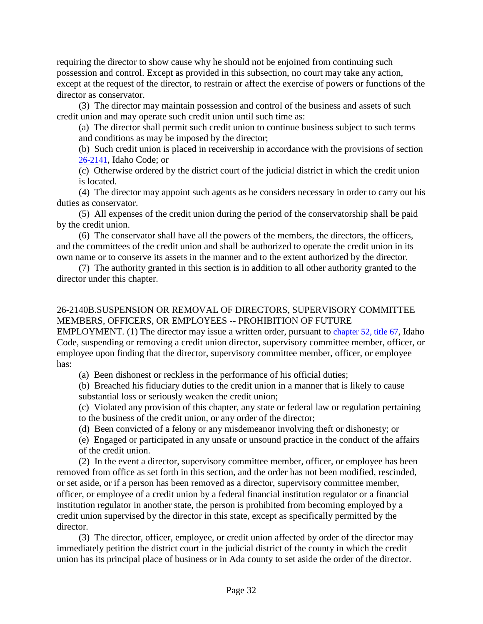requiring the director to show cause why he should not be enjoined from continuing such possession and control. Except as provided in this subsection, no court may take any action, except at the request of the director, to restrain or affect the exercise of powers or functions of the director as conservator.

(3) The director may maintain possession and control of the business and assets of such credit union and may operate such credit union until such time as:

(a) The director shall permit such credit union to continue business subject to such terms and conditions as may be imposed by the director;

(b) Such credit union is placed in receivership in accordance with the provisions of section 26-2141, Idaho Code; or

(c) Otherwise ordered by the district court of the judicial district in which the credit union is located.

(4) The director may appoint such agents as he considers necessary in order to carry out his duties as conservator.

(5) All expenses of the credit union during the period of the conservatorship shall be paid by the credit union.

(6) The conservator shall have all the powers of the members, the directors, the officers, and the committees of the credit union and shall be authorized to operate the credit union in its own name or to conserve its assets in the manner and to the extent authorized by the director.

(7) The authority granted in this section is in addition to all other authority granted to the director under this chapter.

## 26-2140B.SUSPENSION OR REMOVAL OF DIRECTORS, SUPERVISORY COMMITTEE MEMBERS, OFFICERS, OR EMPLOYEES -- PROHIBITION OF FUTURE

EMPLOYMENT. (1) The director may issue a written order, pursuant to chapter 52, title 67, Idaho Code, suspending or removing a credit union director, supervisory committee member, officer, or employee upon finding that the director, supervisory committee member, officer, or employee has:

(a) Been dishonest or reckless in the performance of his official duties;

(b) Breached his fiduciary duties to the credit union in a manner that is likely to cause substantial loss or seriously weaken the credit union;

(c) Violated any provision of this chapter, any state or federal law or regulation pertaining to the business of the credit union, or any order of the director;

(d) Been convicted of a felony or any misdemeanor involving theft or dishonesty; or

(e) Engaged or participated in any unsafe or unsound practice in the conduct of the affairs of the credit union.

(2) In the event a director, supervisory committee member, officer, or employee has been removed from office as set forth in this section, and the order has not been modified, rescinded, or set aside, or if a person has been removed as a director, supervisory committee member, officer, or employee of a credit union by a federal financial institution regulator or a financial institution regulator in another state, the person is prohibited from becoming employed by a credit union supervised by the director in this state, except as specifically permitted by the director.

(3) The director, officer, employee, or credit union affected by order of the director may immediately petition the district court in the judicial district of the county in which the credit union has its principal place of business or in Ada county to set aside the order of the director.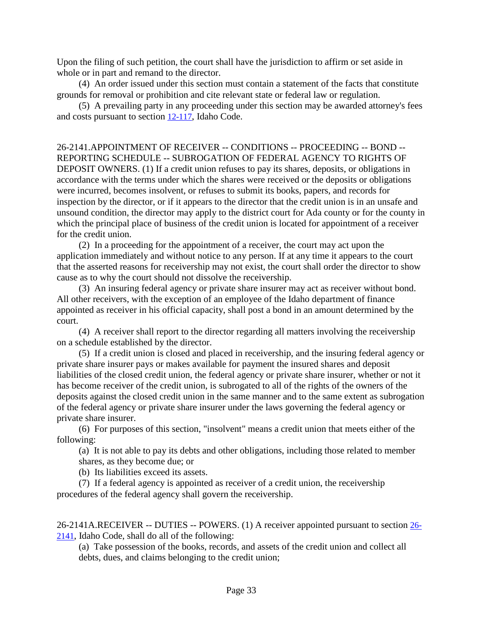Upon the filing of such petition, the court shall have the jurisdiction to affirm or set aside in whole or in part and remand to the director.

(4) An order issued under this section must contain a statement of the facts that constitute grounds for removal or prohibition and cite relevant state or federal law or regulation.

(5) A prevailing party in any proceeding under this section may be awarded attorney's fees and costs pursuant to section 12-117, Idaho Code.

26-2141.APPOINTMENT OF RECEIVER -- CONDITIONS -- PROCEEDING -- BOND -- REPORTING SCHEDULE -- SUBROGATION OF FEDERAL AGENCY TO RIGHTS OF DEPOSIT OWNERS. (1) If a credit union refuses to pay its shares, deposits, or obligations in accordance with the terms under which the shares were received or the deposits or obligations were incurred, becomes insolvent, or refuses to submit its books, papers, and records for inspection by the director, or if it appears to the director that the credit union is in an unsafe and unsound condition, the director may apply to the district court for Ada county or for the county in which the principal place of business of the credit union is located for appointment of a receiver for the credit union.

(2) In a proceeding for the appointment of a receiver, the court may act upon the application immediately and without notice to any person. If at any time it appears to the court that the asserted reasons for receivership may not exist, the court shall order the director to show cause as to why the court should not dissolve the receivership.

(3) An insuring federal agency or private share insurer may act as receiver without bond. All other receivers, with the exception of an employee of the Idaho department of finance appointed as receiver in his official capacity, shall post a bond in an amount determined by the court.

(4) A receiver shall report to the director regarding all matters involving the receivership on a schedule established by the director.

(5) If a credit union is closed and placed in receivership, and the insuring federal agency or private share insurer pays or makes available for payment the insured shares and deposit liabilities of the closed credit union, the federal agency or private share insurer, whether or not it has become receiver of the credit union, is subrogated to all of the rights of the owners of the deposits against the closed credit union in the same manner and to the same extent as subrogation of the federal agency or private share insurer under the laws governing the federal agency or private share insurer.

(6) For purposes of this section, "insolvent" means a credit union that meets either of the following:

(a) It is not able to pay its debts and other obligations, including those related to member shares, as they become due; or

(b) Its liabilities exceed its assets.

(7) If a federal agency is appointed as receiver of a credit union, the receivership procedures of the federal agency shall govern the receivership.

26-2141A.RECEIVER -- DUTIES -- POWERS. (1) A receiver appointed pursuant to section 26- 2141, Idaho Code, shall do all of the following:

(a) Take possession of the books, records, and assets of the credit union and collect all debts, dues, and claims belonging to the credit union;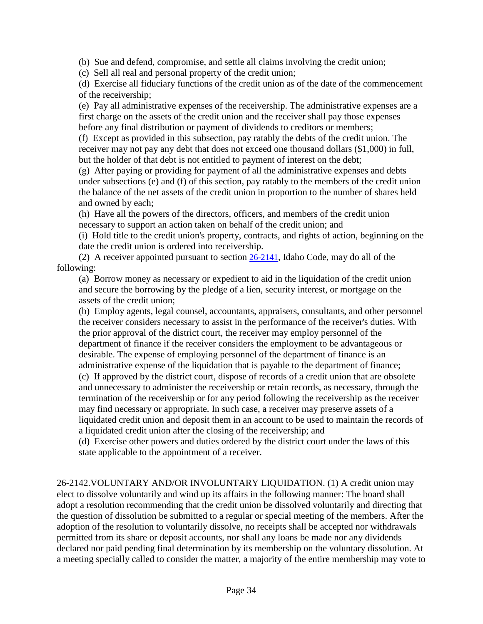(b) Sue and defend, compromise, and settle all claims involving the credit union;

(c) Sell all real and personal property of the credit union;

(d) Exercise all fiduciary functions of the credit union as of the date of the commencement of the receivership;

(e) Pay all administrative expenses of the receivership. The administrative expenses are a first charge on the assets of the credit union and the receiver shall pay those expenses before any final distribution or payment of dividends to creditors or members;

(f) Except as provided in this subsection, pay ratably the debts of the credit union. The receiver may not pay any debt that does not exceed one thousand dollars (\$1,000) in full, but the holder of that debt is not entitled to payment of interest on the debt;

(g) After paying or providing for payment of all the administrative expenses and debts under subsections (e) and (f) of this section, pay ratably to the members of the credit union the balance of the net assets of the credit union in proportion to the number of shares held and owned by each;

(h) Have all the powers of the directors, officers, and members of the credit union necessary to support an action taken on behalf of the credit union; and

(i) Hold title to the credit union's property, contracts, and rights of action, beginning on the date the credit union is ordered into receivership.

(2) A receiver appointed pursuant to section 26-2141, Idaho Code, may do all of the following:

(a) Borrow money as necessary or expedient to aid in the liquidation of the credit union and secure the borrowing by the pledge of a lien, security interest, or mortgage on the assets of the credit union;

(b) Employ agents, legal counsel, accountants, appraisers, consultants, and other personnel the receiver considers necessary to assist in the performance of the receiver's duties. With the prior approval of the district court, the receiver may employ personnel of the department of finance if the receiver considers the employment to be advantageous or desirable. The expense of employing personnel of the department of finance is an administrative expense of the liquidation that is payable to the department of finance; (c) If approved by the district court, dispose of records of a credit union that are obsolete and unnecessary to administer the receivership or retain records, as necessary, through the termination of the receivership or for any period following the receivership as the receiver may find necessary or appropriate. In such case, a receiver may preserve assets of a liquidated credit union and deposit them in an account to be used to maintain the records of

a liquidated credit union after the closing of the receivership; and

(d) Exercise other powers and duties ordered by the district court under the laws of this state applicable to the appointment of a receiver.

26-2142.VOLUNTARY AND/OR INVOLUNTARY LIQUIDATION. (1) A credit union may elect to dissolve voluntarily and wind up its affairs in the following manner: The board shall adopt a resolution recommending that the credit union be dissolved voluntarily and directing that the question of dissolution be submitted to a regular or special meeting of the members. After the adoption of the resolution to voluntarily dissolve, no receipts shall be accepted nor withdrawals permitted from its share or deposit accounts, nor shall any loans be made nor any dividends declared nor paid pending final determination by its membership on the voluntary dissolution. At a meeting specially called to consider the matter, a majority of the entire membership may vote to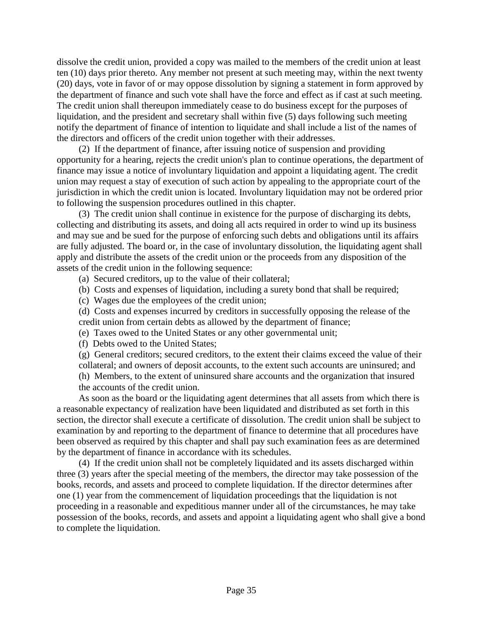dissolve the credit union, provided a copy was mailed to the members of the credit union at least ten (10) days prior thereto. Any member not present at such meeting may, within the next twenty (20) days, vote in favor of or may oppose dissolution by signing a statement in form approved by the department of finance and such vote shall have the force and effect as if cast at such meeting. The credit union shall thereupon immediately cease to do business except for the purposes of liquidation, and the president and secretary shall within five (5) days following such meeting notify the department of finance of intention to liquidate and shall include a list of the names of the directors and officers of the credit union together with their addresses.

(2) If the department of finance, after issuing notice of suspension and providing opportunity for a hearing, rejects the credit union's plan to continue operations, the department of finance may issue a notice of involuntary liquidation and appoint a liquidating agent. The credit union may request a stay of execution of such action by appealing to the appropriate court of the jurisdiction in which the credit union is located. Involuntary liquidation may not be ordered prior to following the suspension procedures outlined in this chapter.

(3) The credit union shall continue in existence for the purpose of discharging its debts, collecting and distributing its assets, and doing all acts required in order to wind up its business and may sue and be sued for the purpose of enforcing such debts and obligations until its affairs are fully adjusted. The board or, in the case of involuntary dissolution, the liquidating agent shall apply and distribute the assets of the credit union or the proceeds from any disposition of the assets of the credit union in the following sequence:

- (a) Secured creditors, up to the value of their collateral;
- (b) Costs and expenses of liquidation, including a surety bond that shall be required;
- (c) Wages due the employees of the credit union;
- (d) Costs and expenses incurred by creditors in successfully opposing the release of the credit union from certain debts as allowed by the department of finance;
- (e) Taxes owed to the United States or any other governmental unit;
- (f) Debts owed to the United States;
- (g) General creditors; secured creditors, to the extent their claims exceed the value of their collateral; and owners of deposit accounts, to the extent such accounts are uninsured; and
- (h) Members, to the extent of uninsured share accounts and the organization that insured
- the accounts of the credit union.

As soon as the board or the liquidating agent determines that all assets from which there is a reasonable expectancy of realization have been liquidated and distributed as set forth in this section, the director shall execute a certificate of dissolution. The credit union shall be subject to examination by and reporting to the department of finance to determine that all procedures have been observed as required by this chapter and shall pay such examination fees as are determined by the department of finance in accordance with its schedules.

(4) If the credit union shall not be completely liquidated and its assets discharged within three (3) years after the special meeting of the members, the director may take possession of the books, records, and assets and proceed to complete liquidation. If the director determines after one (1) year from the commencement of liquidation proceedings that the liquidation is not proceeding in a reasonable and expeditious manner under all of the circumstances, he may take possession of the books, records, and assets and appoint a liquidating agent who shall give a bond to complete the liquidation.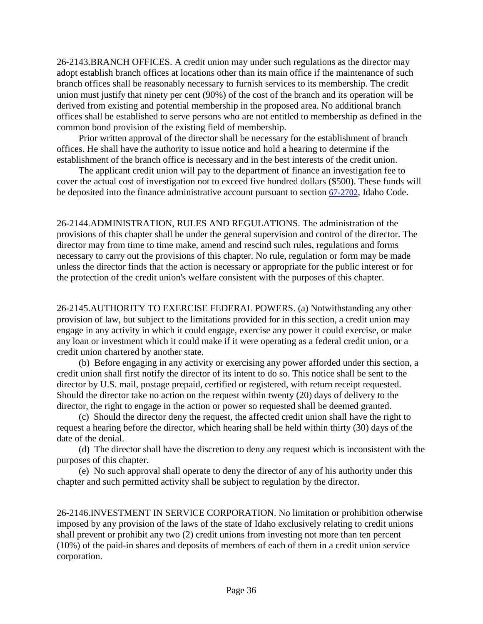26-2143.BRANCH OFFICES. A credit union may under such regulations as the director may adopt establish branch offices at locations other than its main office if the maintenance of such branch offices shall be reasonably necessary to furnish services to its membership. The credit union must justify that ninety per cent (90%) of the cost of the branch and its operation will be derived from existing and potential membership in the proposed area. No additional branch offices shall be established to serve persons who are not entitled to membership as defined in the common bond provision of the existing field of membership.

Prior written approval of the director shall be necessary for the establishment of branch offices. He shall have the authority to issue notice and hold a hearing to determine if the establishment of the branch office is necessary and in the best interests of the credit union.

The applicant credit union will pay to the department of finance an investigation fee to cover the actual cost of investigation not to exceed five hundred dollars (\$500). These funds will be deposited into the finance administrative account pursuant to section [67-2702,](https://legislature.idaho.gov/statutesrules/idstat/Title67/T67CH27/SECT67-2702) Idaho Code.

26-2144.ADMINISTRATION, RULES AND REGULATIONS. The administration of the provisions of this chapter shall be under the general supervision and control of the director. The director may from time to time make, amend and rescind such rules, regulations and forms necessary to carry out the provisions of this chapter. No rule, regulation or form may be made unless the director finds that the action is necessary or appropriate for the public interest or for the protection of the credit union's welfare consistent with the purposes of this chapter.

26-2145.AUTHORITY TO EXERCISE FEDERAL POWERS. (a) Notwithstanding any other provision of law, but subject to the limitations provided for in this section, a credit union may engage in any activity in which it could engage, exercise any power it could exercise, or make any loan or investment which it could make if it were operating as a federal credit union, or a credit union chartered by another state.

(b) Before engaging in any activity or exercising any power afforded under this section, a credit union shall first notify the director of its intent to do so. This notice shall be sent to the director by U.S. mail, postage prepaid, certified or registered, with return receipt requested. Should the director take no action on the request within twenty (20) days of delivery to the director, the right to engage in the action or power so requested shall be deemed granted.

(c) Should the director deny the request, the affected credit union shall have the right to request a hearing before the director, which hearing shall be held within thirty (30) days of the date of the denial.

(d) The director shall have the discretion to deny any request which is inconsistent with the purposes of this chapter.

(e) No such approval shall operate to deny the director of any of his authority under this chapter and such permitted activity shall be subject to regulation by the director.

26-2146.INVESTMENT IN SERVICE CORPORATION. No limitation or prohibition otherwise imposed by any provision of the laws of the state of Idaho exclusively relating to credit unions shall prevent or prohibit any two (2) credit unions from investing not more than ten percent (10%) of the paid-in shares and deposits of members of each of them in a credit union service corporation.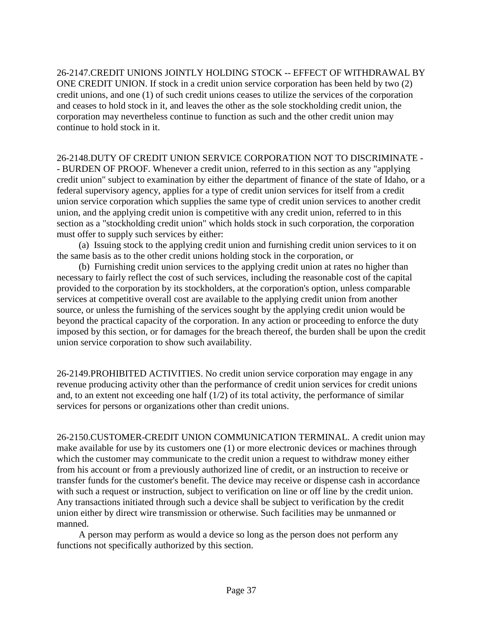26-2147.CREDIT UNIONS JOINTLY HOLDING STOCK -- EFFECT OF WITHDRAWAL BY ONE CREDIT UNION. If stock in a credit union service corporation has been held by two (2) credit unions, and one (1) of such credit unions ceases to utilize the services of the corporation and ceases to hold stock in it, and leaves the other as the sole stockholding credit union, the corporation may nevertheless continue to function as such and the other credit union may continue to hold stock in it.

26-2148.DUTY OF CREDIT UNION SERVICE CORPORATION NOT TO DISCRIMINATE - - BURDEN OF PROOF. Whenever a credit union, referred to in this section as any "applying credit union" subject to examination by either the department of finance of the state of Idaho, or a federal supervisory agency, applies for a type of credit union services for itself from a credit union service corporation which supplies the same type of credit union services to another credit union, and the applying credit union is competitive with any credit union, referred to in this section as a "stockholding credit union" which holds stock in such corporation, the corporation must offer to supply such services by either:

(a) Issuing stock to the applying credit union and furnishing credit union services to it on the same basis as to the other credit unions holding stock in the corporation, or

(b) Furnishing credit union services to the applying credit union at rates no higher than necessary to fairly reflect the cost of such services, including the reasonable cost of the capital provided to the corporation by its stockholders, at the corporation's option, unless comparable services at competitive overall cost are available to the applying credit union from another source, or unless the furnishing of the services sought by the applying credit union would be beyond the practical capacity of the corporation. In any action or proceeding to enforce the duty imposed by this section, or for damages for the breach thereof, the burden shall be upon the credit union service corporation to show such availability.

26-2149.PROHIBITED ACTIVITIES. No credit union service corporation may engage in any revenue producing activity other than the performance of credit union services for credit unions and, to an extent not exceeding one half  $(1/2)$  of its total activity, the performance of similar services for persons or organizations other than credit unions.

26-2150.CUSTOMER-CREDIT UNION COMMUNICATION TERMINAL. A credit union may make available for use by its customers one (1) or more electronic devices or machines through which the customer may communicate to the credit union a request to withdraw money either from his account or from a previously authorized line of credit, or an instruction to receive or transfer funds for the customer's benefit. The device may receive or dispense cash in accordance with such a request or instruction, subject to verification on line or off line by the credit union. Any transactions initiated through such a device shall be subject to verification by the credit union either by direct wire transmission or otherwise. Such facilities may be unmanned or manned.

A person may perform as would a device so long as the person does not perform any functions not specifically authorized by this section.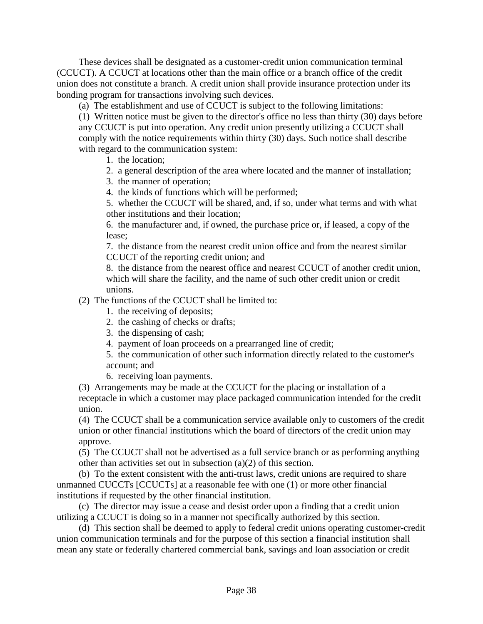These devices shall be designated as a customer-credit union communication terminal (CCUCT). A CCUCT at locations other than the main office or a branch office of the credit union does not constitute a branch. A credit union shall provide insurance protection under its bonding program for transactions involving such devices.

(a) The establishment and use of CCUCT is subject to the following limitations:

(1) Written notice must be given to the director's office no less than thirty (30) days before any CCUCT is put into operation. Any credit union presently utilizing a CCUCT shall comply with the notice requirements within thirty (30) days. Such notice shall describe with regard to the communication system:

1. the location;

- 2. a general description of the area where located and the manner of installation;
- 3. the manner of operation;
- 4. the kinds of functions which will be performed;

5. whether the CCUCT will be shared, and, if so, under what terms and with what other institutions and their location;

6. the manufacturer and, if owned, the purchase price or, if leased, a copy of the lease;

7. the distance from the nearest credit union office and from the nearest similar CCUCT of the reporting credit union; and

8. the distance from the nearest office and nearest CCUCT of another credit union, which will share the facility, and the name of such other credit union or credit unions.

(2) The functions of the CCUCT shall be limited to:

- 1. the receiving of deposits;
- 2. the cashing of checks or drafts;
- 3. the dispensing of cash;
- 4. payment of loan proceeds on a prearranged line of credit;
- 5. the communication of other such information directly related to the customer's account; and
- 6. receiving loan payments.

(3) Arrangements may be made at the CCUCT for the placing or installation of a receptacle in which a customer may place packaged communication intended for the credit union.

(4) The CCUCT shall be a communication service available only to customers of the credit union or other financial institutions which the board of directors of the credit union may approve.

(5) The CCUCT shall not be advertised as a full service branch or as performing anything other than activities set out in subsection (a)(2) of this section.

(b) To the extent consistent with the anti-trust laws, credit unions are required to share unmanned CUCCTs [CCUCTs] at a reasonable fee with one (1) or more other financial institutions if requested by the other financial institution.

(c) The director may issue a cease and desist order upon a finding that a credit union utilizing a CCUCT is doing so in a manner not specifically authorized by this section.

(d) This section shall be deemed to apply to federal credit unions operating customer-credit union communication terminals and for the purpose of this section a financial institution shall mean any state or federally chartered commercial bank, savings and loan association or credit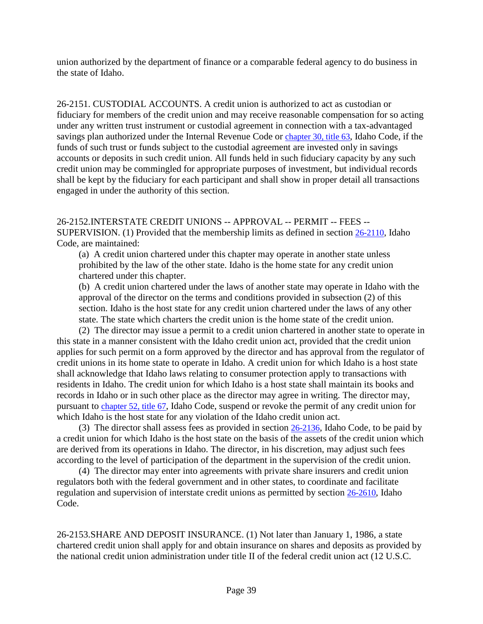union authorized by the department of finance or a comparable federal agency to do business in the state of Idaho.

26-2151. CUSTODIAL ACCOUNTS. A credit union is authorized to act as custodian or fiduciary for members of the credit union and may receive reasonable compensation for so acting under any written trust instrument or custodial agreement in connection with a tax-advantaged savings plan authorized under the Internal Revenue Code or chapter 30, title 63, Idaho Code, if the funds of such trust or funds subject to the custodial agreement are invested only in savings accounts or deposits in such credit union. All funds held in such fiduciary capacity by any such credit union may be commingled for appropriate purposes of investment, but individual records shall be kept by the fiduciary for each participant and shall show in proper detail all transactions engaged in under the authority of this section.

26-2152.INTERSTATE CREDIT UNIONS -- APPROVAL -- PERMIT -- FEES -- SUPERVISION. (1) Provided that the membership limits as defined in section [26-2110,](https://legislature.idaho.gov/statutesrules/idstat/Title26/T26CH21/SECT26-2110) Idaho Code, are maintained:

(a) A credit union chartered under this chapter may operate in another state unless prohibited by the law of the other state. Idaho is the home state for any credit union chartered under this chapter.

(b) A credit union chartered under the laws of another state may operate in Idaho with the approval of the director on the terms and conditions provided in subsection (2) of this section. Idaho is the host state for any credit union chartered under the laws of any other state. The state which charters the credit union is the home state of the credit union.

(2) The director may issue a permit to a credit union chartered in another state to operate in this state in a manner consistent with the Idaho credit union act, provided that the credit union applies for such permit on a form approved by the director and has approval from the regulator of credit unions in its home state to operate in Idaho. A credit union for which Idaho is a host state shall acknowledge that Idaho laws relating to consumer protection apply to transactions with residents in Idaho. The credit union for which Idaho is a host state shall maintain its books and records in Idaho or in such other place as the director may agree in writing. The director may, pursuant to [chapter 52, title 67,](https://legislature.idaho.gov/statutesrules/idstat/Title67/T67CH52) Idaho Code, suspend or revoke the permit of any credit union for which Idaho is the host state for any violation of the Idaho credit union act.

(3) The director shall assess fees as provided in section [26-2136,](https://legislature.idaho.gov/statutesrules/idstat/Title26/T26CH21/SECT26-2136) Idaho Code, to be paid by a credit union for which Idaho is the host state on the basis of the assets of the credit union which are derived from its operations in Idaho. The director, in his discretion, may adjust such fees according to the level of participation of the department in the supervision of the credit union.

(4) The director may enter into agreements with private share insurers and credit union regulators both with the federal government and in other states, to coordinate and facilitate regulation and supervision of interstate credit unions as permitted by section [26-2610,](https://legislature.idaho.gov/statutesrules/idstat/Title26/T26CH26/SECT26-2610) Idaho Code.

26-2153.SHARE AND DEPOSIT INSURANCE. (1) Not later than January 1, 1986, a state chartered credit union shall apply for and obtain insurance on shares and deposits as provided by the national credit union administration under title II of the federal credit union act (12 U.S.C.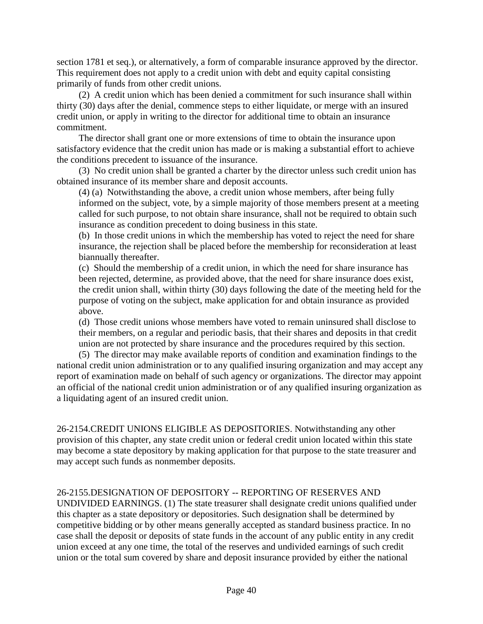section 1781 et seq.), or alternatively, a form of comparable insurance approved by the director. This requirement does not apply to a credit union with debt and equity capital consisting primarily of funds from other credit unions.

(2) A credit union which has been denied a commitment for such insurance shall within thirty (30) days after the denial, commence steps to either liquidate, or merge with an insured credit union, or apply in writing to the director for additional time to obtain an insurance commitment.

The director shall grant one or more extensions of time to obtain the insurance upon satisfactory evidence that the credit union has made or is making a substantial effort to achieve the conditions precedent to issuance of the insurance.

(3) No credit union shall be granted a charter by the director unless such credit union has obtained insurance of its member share and deposit accounts.

(4) (a) Notwithstanding the above, a credit union whose members, after being fully informed on the subject, vote, by a simple majority of those members present at a meeting called for such purpose, to not obtain share insurance, shall not be required to obtain such insurance as condition precedent to doing business in this state.

(b) In those credit unions in which the membership has voted to reject the need for share insurance, the rejection shall be placed before the membership for reconsideration at least biannually thereafter.

(c) Should the membership of a credit union, in which the need for share insurance has been rejected, determine, as provided above, that the need for share insurance does exist, the credit union shall, within thirty (30) days following the date of the meeting held for the purpose of voting on the subject, make application for and obtain insurance as provided above.

(d) Those credit unions whose members have voted to remain uninsured shall disclose to their members, on a regular and periodic basis, that their shares and deposits in that credit union are not protected by share insurance and the procedures required by this section.

(5) The director may make available reports of condition and examination findings to the national credit union administration or to any qualified insuring organization and may accept any report of examination made on behalf of such agency or organizations. The director may appoint an official of the national credit union administration or of any qualified insuring organization as a liquidating agent of an insured credit union.

26-2154.CREDIT UNIONS ELIGIBLE AS DEPOSITORIES. Notwithstanding any other provision of this chapter, any state credit union or federal credit union located within this state may become a state depository by making application for that purpose to the state treasurer and may accept such funds as nonmember deposits.

#### 26-2155.DESIGNATION OF DEPOSITORY -- REPORTING OF RESERVES AND

UNDIVIDED EARNINGS. (1) The state treasurer shall designate credit unions qualified under this chapter as a state depository or depositories. Such designation shall be determined by competitive bidding or by other means generally accepted as standard business practice. In no case shall the deposit or deposits of state funds in the account of any public entity in any credit union exceed at any one time, the total of the reserves and undivided earnings of such credit union or the total sum covered by share and deposit insurance provided by either the national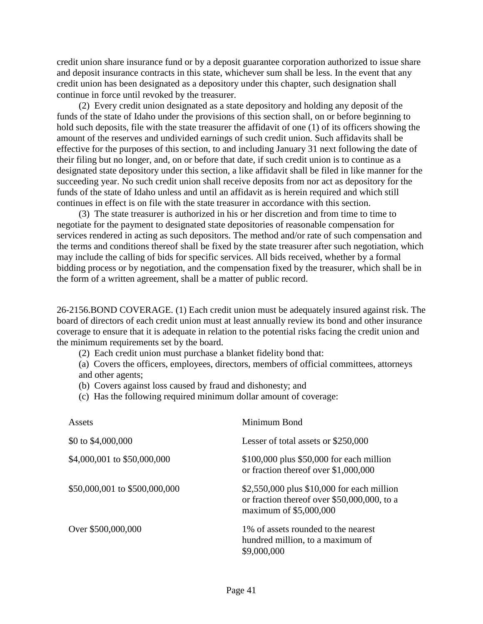credit union share insurance fund or by a deposit guarantee corporation authorized to issue share and deposit insurance contracts in this state, whichever sum shall be less. In the event that any credit union has been designated as a depository under this chapter, such designation shall continue in force until revoked by the treasurer.

(2) Every credit union designated as a state depository and holding any deposit of the funds of the state of Idaho under the provisions of this section shall, on or before beginning to hold such deposits, file with the state treasurer the affidavit of one (1) of its officers showing the amount of the reserves and undivided earnings of such credit union. Such affidavits shall be effective for the purposes of this section, to and including January 31 next following the date of their filing but no longer, and, on or before that date, if such credit union is to continue as a designated state depository under this section, a like affidavit shall be filed in like manner for the succeeding year. No such credit union shall receive deposits from nor act as depository for the funds of the state of Idaho unless and until an affidavit as is herein required and which still continues in effect is on file with the state treasurer in accordance with this section.

(3) The state treasurer is authorized in his or her discretion and from time to time to negotiate for the payment to designated state depositories of reasonable compensation for services rendered in acting as such depositors. The method and/or rate of such compensation and the terms and conditions thereof shall be fixed by the state treasurer after such negotiation, which may include the calling of bids for specific services. All bids received, whether by a formal bidding process or by negotiation, and the compensation fixed by the treasurer, which shall be in the form of a written agreement, shall be a matter of public record.

26-2156.BOND COVERAGE. (1) Each credit union must be adequately insured against risk. The board of directors of each credit union must at least annually review its bond and other insurance coverage to ensure that it is adequate in relation to the potential risks facing the credit union and the minimum requirements set by the board.

(2) Each credit union must purchase a blanket fidelity bond that:

(a) Covers the officers, employees, directors, members of official committees, attorneys and other agents;

(b) Covers against loss caused by fraud and dishonesty; and

(c) Has the following required minimum dollar amount of coverage:

| Assets                        | Minimum Bond                                                                                                        |
|-------------------------------|---------------------------------------------------------------------------------------------------------------------|
| \$0 to \$4,000,000            | Lesser of total assets or \$250,000                                                                                 |
| \$4,000,001 to \$50,000,000   | \$100,000 plus \$50,000 for each million<br>or fraction thereof over \$1,000,000                                    |
| \$50,000,001 to \$500,000,000 | \$2,550,000 plus \$10,000 for each million<br>or fraction thereof over \$50,000,000, to a<br>maximum of \$5,000,000 |
| Over \$500,000,000            | 1% of assets rounded to the nearest<br>hundred million, to a maximum of<br>\$9,000,000                              |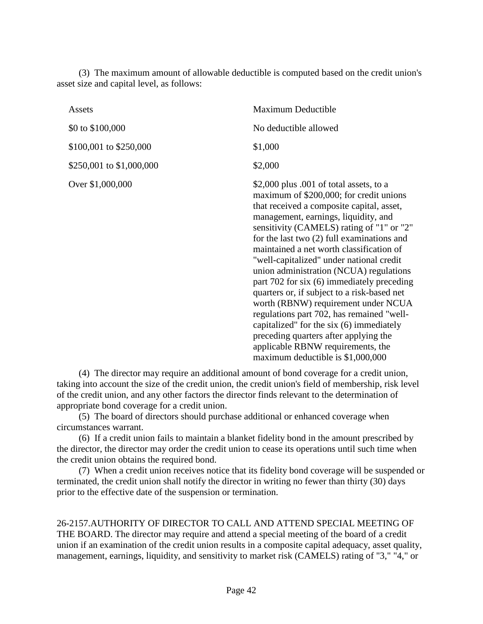(3) The maximum amount of allowable deductible is computed based on the credit union's asset size and capital level, as follows:

| Assets                   | Maximum Deductible                                                                                                                                                                                                                                                                                                                                                                                                                                                                                                                                                                                                                                                                                                                                      |
|--------------------------|---------------------------------------------------------------------------------------------------------------------------------------------------------------------------------------------------------------------------------------------------------------------------------------------------------------------------------------------------------------------------------------------------------------------------------------------------------------------------------------------------------------------------------------------------------------------------------------------------------------------------------------------------------------------------------------------------------------------------------------------------------|
| \$0 to \$100,000         | No deductible allowed                                                                                                                                                                                                                                                                                                                                                                                                                                                                                                                                                                                                                                                                                                                                   |
| \$100,001 to \$250,000   | \$1,000                                                                                                                                                                                                                                                                                                                                                                                                                                                                                                                                                                                                                                                                                                                                                 |
| \$250,001 to \$1,000,000 | \$2,000                                                                                                                                                                                                                                                                                                                                                                                                                                                                                                                                                                                                                                                                                                                                                 |
| Over \$1,000,000         | \$2,000 plus .001 of total assets, to a<br>maximum of \$200,000; for credit unions<br>that received a composite capital, asset,<br>management, earnings, liquidity, and<br>sensitivity (CAMELS) rating of "1" or "2"<br>for the last two $(2)$ full examinations and<br>maintained a net worth classification of<br>"well-capitalized" under national credit<br>union administration (NCUA) regulations<br>part 702 for six (6) immediately preceding<br>quarters or, if subject to a risk-based net<br>worth (RBNW) requirement under NCUA<br>regulations part 702, has remained "well-<br>capitalized" for the six (6) immediately<br>preceding quarters after applying the<br>applicable RBNW requirements, the<br>maximum deductible is \$1,000,000 |

(4) The director may require an additional amount of bond coverage for a credit union, taking into account the size of the credit union, the credit union's field of membership, risk level of the credit union, and any other factors the director finds relevant to the determination of appropriate bond coverage for a credit union.

(5) The board of directors should purchase additional or enhanced coverage when circumstances warrant.

(6) If a credit union fails to maintain a blanket fidelity bond in the amount prescribed by the director, the director may order the credit union to cease its operations until such time when the credit union obtains the required bond.

(7) When a credit union receives notice that its fidelity bond coverage will be suspended or terminated, the credit union shall notify the director in writing no fewer than thirty (30) days prior to the effective date of the suspension or termination.

26-2157.AUTHORITY OF DIRECTOR TO CALL AND ATTEND SPECIAL MEETING OF THE BOARD. The director may require and attend a special meeting of the board of a credit union if an examination of the credit union results in a composite capital adequacy, asset quality, management, earnings, liquidity, and sensitivity to market risk (CAMELS) rating of "3," "4," or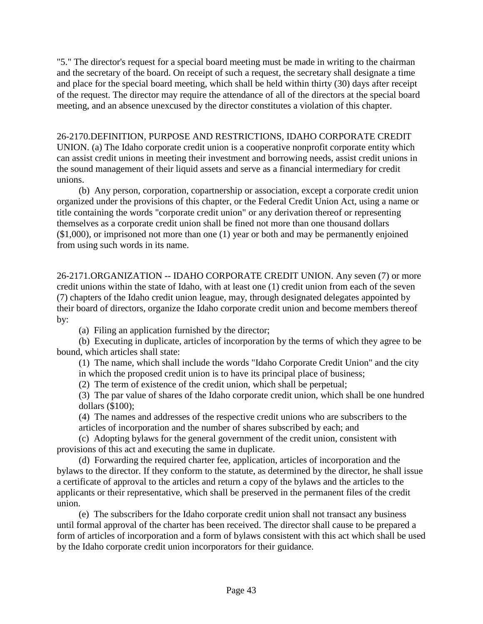"5." The director's request for a special board meeting must be made in writing to the chairman and the secretary of the board. On receipt of such a request, the secretary shall designate a time and place for the special board meeting, which shall be held within thirty (30) days after receipt of the request. The director may require the attendance of all of the directors at the special board meeting, and an absence unexcused by the director constitutes a violation of this chapter.

#### 26-2170.DEFINITION, PURPOSE AND RESTRICTIONS, IDAHO CORPORATE CREDIT

UNION. (a) The Idaho corporate credit union is a cooperative nonprofit corporate entity which can assist credit unions in meeting their investment and borrowing needs, assist credit unions in the sound management of their liquid assets and serve as a financial intermediary for credit unions.

(b) Any person, corporation, copartnership or association, except a corporate credit union organized under the provisions of this chapter, or the Federal Credit Union Act, using a name or title containing the words "corporate credit union" or any derivation thereof or representing themselves as a corporate credit union shall be fined not more than one thousand dollars (\$1,000), or imprisoned not more than one (1) year or both and may be permanently enjoined from using such words in its name.

26-2171.ORGANIZATION -- IDAHO CORPORATE CREDIT UNION. Any seven (7) or more credit unions within the state of Idaho, with at least one (1) credit union from each of the seven (7) chapters of the Idaho credit union league, may, through designated delegates appointed by their board of directors, organize the Idaho corporate credit union and become members thereof by:

(a) Filing an application furnished by the director;

(b) Executing in duplicate, articles of incorporation by the terms of which they agree to be bound, which articles shall state:

(1) The name, which shall include the words "Idaho Corporate Credit Union" and the city in which the proposed credit union is to have its principal place of business;

(2) The term of existence of the credit union, which shall be perpetual;

(3) The par value of shares of the Idaho corporate credit union, which shall be one hundred dollars (\$100);

(4) The names and addresses of the respective credit unions who are subscribers to the articles of incorporation and the number of shares subscribed by each; and

(c) Adopting bylaws for the general government of the credit union, consistent with provisions of this act and executing the same in duplicate.

(d) Forwarding the required charter fee, application, articles of incorporation and the bylaws to the director. If they conform to the statute, as determined by the director, he shall issue a certificate of approval to the articles and return a copy of the bylaws and the articles to the applicants or their representative, which shall be preserved in the permanent files of the credit union.

(e) The subscribers for the Idaho corporate credit union shall not transact any business until formal approval of the charter has been received. The director shall cause to be prepared a form of articles of incorporation and a form of bylaws consistent with this act which shall be used by the Idaho corporate credit union incorporators for their guidance.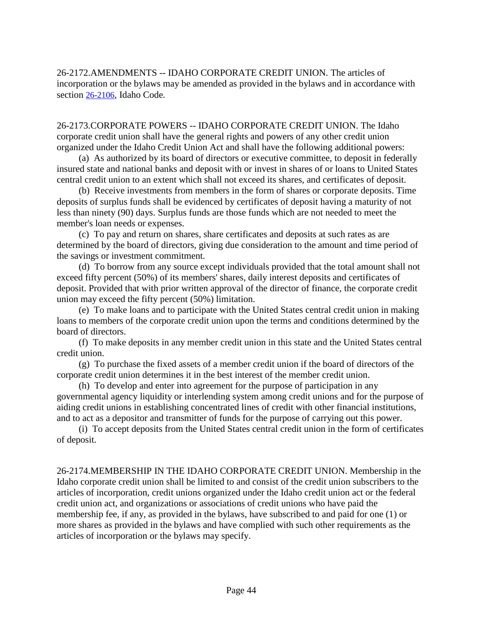26-2172.AMENDMENTS -- IDAHO CORPORATE CREDIT UNION. The articles of incorporation or the bylaws may be amended as provided in the bylaws and in accordance with section [26-2106,](https://legislature.idaho.gov/statutesrules/idstat/Title26/T26CH21/SECT26-2106) Idaho Code.

26-2173.CORPORATE POWERS -- IDAHO CORPORATE CREDIT UNION. The Idaho corporate credit union shall have the general rights and powers of any other credit union organized under the Idaho Credit Union Act and shall have the following additional powers:

(a) As authorized by its board of directors or executive committee, to deposit in federally insured state and national banks and deposit with or invest in shares of or loans to United States central credit union to an extent which shall not exceed its shares, and certificates of deposit.

(b) Receive investments from members in the form of shares or corporate deposits. Time deposits of surplus funds shall be evidenced by certificates of deposit having a maturity of not less than ninety (90) days. Surplus funds are those funds which are not needed to meet the member's loan needs or expenses.

(c) To pay and return on shares, share certificates and deposits at such rates as are determined by the board of directors, giving due consideration to the amount and time period of the savings or investment commitment.

(d) To borrow from any source except individuals provided that the total amount shall not exceed fifty percent (50%) of its members' shares, daily interest deposits and certificates of deposit. Provided that with prior written approval of the director of finance, the corporate credit union may exceed the fifty percent (50%) limitation.

(e) To make loans and to participate with the United States central credit union in making loans to members of the corporate credit union upon the terms and conditions determined by the board of directors.

(f) To make deposits in any member credit union in this state and the United States central credit union.

(g) To purchase the fixed assets of a member credit union if the board of directors of the corporate credit union determines it in the best interest of the member credit union.

(h) To develop and enter into agreement for the purpose of participation in any governmental agency liquidity or interlending system among credit unions and for the purpose of aiding credit unions in establishing concentrated lines of credit with other financial institutions, and to act as a depositor and transmitter of funds for the purpose of carrying out this power.

(i) To accept deposits from the United States central credit union in the form of certificates of deposit.

26-2174.MEMBERSHIP IN THE IDAHO CORPORATE CREDIT UNION. Membership in the Idaho corporate credit union shall be limited to and consist of the credit union subscribers to the articles of incorporation, credit unions organized under the Idaho credit union act or the federal credit union act, and organizations or associations of credit unions who have paid the membership fee, if any, as provided in the bylaws, have subscribed to and paid for one (1) or more shares as provided in the bylaws and have complied with such other requirements as the articles of incorporation or the bylaws may specify.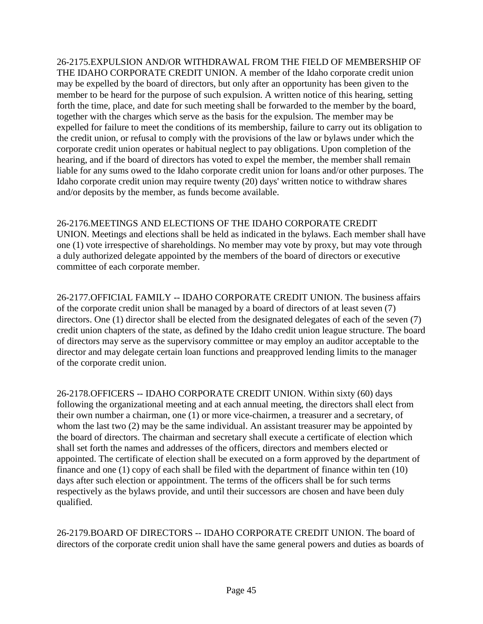26-2175.EXPULSION AND/OR WITHDRAWAL FROM THE FIELD OF MEMBERSHIP OF THE IDAHO CORPORATE CREDIT UNION. A member of the Idaho corporate credit union may be expelled by the board of directors, but only after an opportunity has been given to the member to be heard for the purpose of such expulsion. A written notice of this hearing, setting forth the time, place, and date for such meeting shall be forwarded to the member by the board, together with the charges which serve as the basis for the expulsion. The member may be expelled for failure to meet the conditions of its membership, failure to carry out its obligation to the credit union, or refusal to comply with the provisions of the law or bylaws under which the corporate credit union operates or habitual neglect to pay obligations. Upon completion of the hearing, and if the board of directors has voted to expel the member, the member shall remain liable for any sums owed to the Idaho corporate credit union for loans and/or other purposes. The Idaho corporate credit union may require twenty (20) days' written notice to withdraw shares and/or deposits by the member, as funds become available.

# 26-2176.MEETINGS AND ELECTIONS OF THE IDAHO CORPORATE CREDIT

UNION. Meetings and elections shall be held as indicated in the bylaws. Each member shall have one (1) vote irrespective of shareholdings. No member may vote by proxy, but may vote through a duly authorized delegate appointed by the members of the board of directors or executive committee of each corporate member.

26-2177.OFFICIAL FAMILY -- IDAHO CORPORATE CREDIT UNION. The business affairs of the corporate credit union shall be managed by a board of directors of at least seven (7) directors. One (1) director shall be elected from the designated delegates of each of the seven (7) credit union chapters of the state, as defined by the Idaho credit union league structure. The board of directors may serve as the supervisory committee or may employ an auditor acceptable to the director and may delegate certain loan functions and preapproved lending limits to the manager of the corporate credit union.

26-2178.OFFICERS -- IDAHO CORPORATE CREDIT UNION. Within sixty (60) days following the organizational meeting and at each annual meeting, the directors shall elect from their own number a chairman, one (1) or more vice-chairmen, a treasurer and a secretary, of whom the last two (2) may be the same individual. An assistant treasurer may be appointed by the board of directors. The chairman and secretary shall execute a certificate of election which shall set forth the names and addresses of the officers, directors and members elected or appointed. The certificate of election shall be executed on a form approved by the department of finance and one (1) copy of each shall be filed with the department of finance within ten (10) days after such election or appointment. The terms of the officers shall be for such terms respectively as the bylaws provide, and until their successors are chosen and have been duly qualified.

26-2179.BOARD OF DIRECTORS -- IDAHO CORPORATE CREDIT UNION. The board of directors of the corporate credit union shall have the same general powers and duties as boards of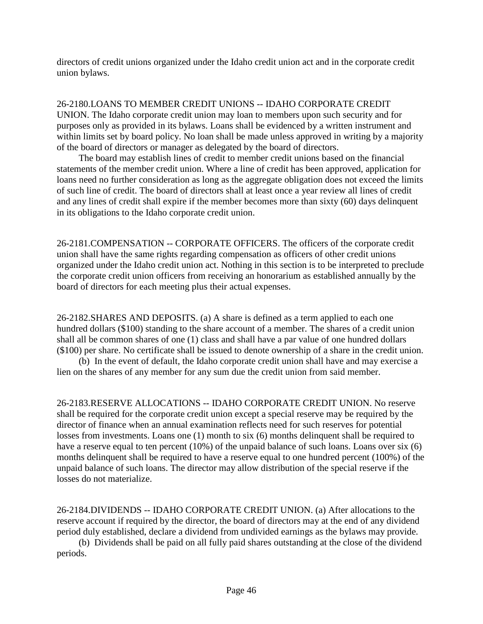directors of credit unions organized under the Idaho credit union act and in the corporate credit union bylaws.

26-2180.LOANS TO MEMBER CREDIT UNIONS -- IDAHO CORPORATE CREDIT UNION. The Idaho corporate credit union may loan to members upon such security and for purposes only as provided in its bylaws. Loans shall be evidenced by a written instrument and within limits set by board policy. No loan shall be made unless approved in writing by a majority of the board of directors or manager as delegated by the board of directors.

The board may establish lines of credit to member credit unions based on the financial statements of the member credit union. Where a line of credit has been approved, application for loans need no further consideration as long as the aggregate obligation does not exceed the limits of such line of credit. The board of directors shall at least once a year review all lines of credit and any lines of credit shall expire if the member becomes more than sixty (60) days delinquent in its obligations to the Idaho corporate credit union.

26-2181.COMPENSATION -- CORPORATE OFFICERS. The officers of the corporate credit union shall have the same rights regarding compensation as officers of other credit unions organized under the Idaho credit union act. Nothing in this section is to be interpreted to preclude the corporate credit union officers from receiving an honorarium as established annually by the board of directors for each meeting plus their actual expenses.

26-2182.SHARES AND DEPOSITS. (a) A share is defined as a term applied to each one hundred dollars (\$100) standing to the share account of a member. The shares of a credit union shall all be common shares of one (1) class and shall have a par value of one hundred dollars (\$100) per share. No certificate shall be issued to denote ownership of a share in the credit union.

(b) In the event of default, the Idaho corporate credit union shall have and may exercise a lien on the shares of any member for any sum due the credit union from said member.

26-2183.RESERVE ALLOCATIONS -- IDAHO CORPORATE CREDIT UNION. No reserve shall be required for the corporate credit union except a special reserve may be required by the director of finance when an annual examination reflects need for such reserves for potential losses from investments. Loans one (1) month to six (6) months delinquent shall be required to have a reserve equal to ten percent (10%) of the unpaid balance of such loans. Loans over six (6) months delinquent shall be required to have a reserve equal to one hundred percent (100%) of the unpaid balance of such loans. The director may allow distribution of the special reserve if the losses do not materialize.

26-2184.DIVIDENDS -- IDAHO CORPORATE CREDIT UNION. (a) After allocations to the reserve account if required by the director, the board of directors may at the end of any dividend period duly established, declare a dividend from undivided earnings as the bylaws may provide.

(b) Dividends shall be paid on all fully paid shares outstanding at the close of the dividend periods.